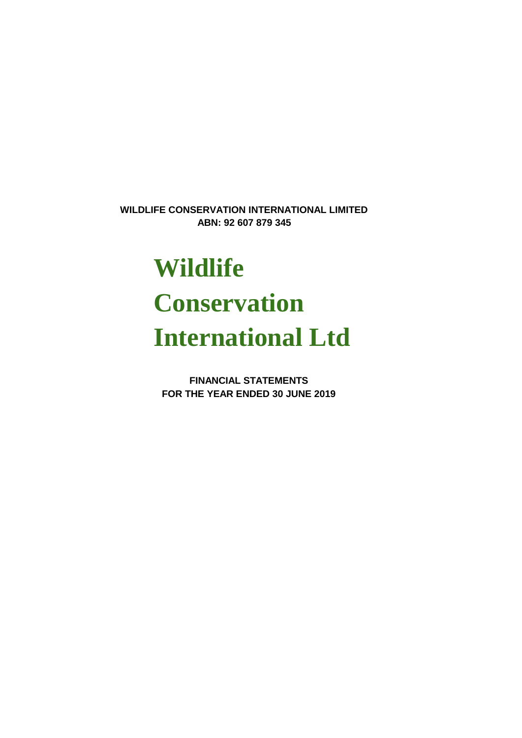**ABN: 92 607 879 345 WILDLIFE CONSERVATION INTERNATIONAL LIMITED**

# **Wildlife Conservation International Ltd**

**FOR THE YEAR ENDED 30 JUNE 2019 FINANCIAL STATEMENTS**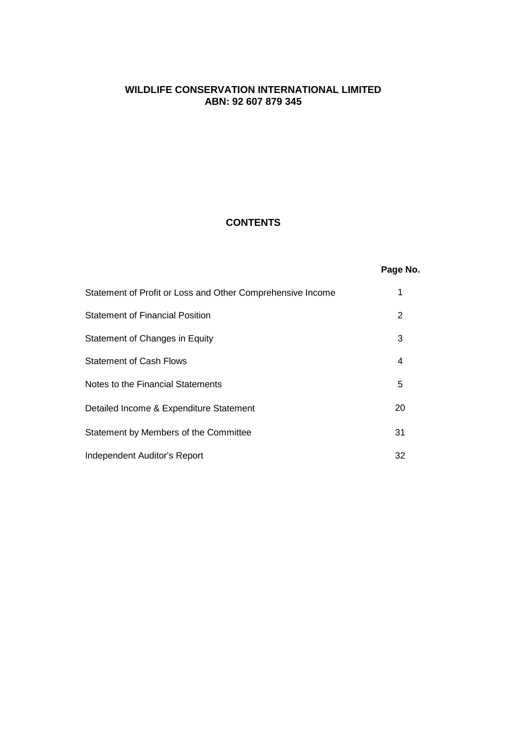## **CONTENTS**

# **Page No.**

| Statement of Profit or Loss and Other Comprehensive Income |    |
|------------------------------------------------------------|----|
| <b>Statement of Financial Position</b>                     | 2  |
| Statement of Changes in Equity                             | 3  |
| <b>Statement of Cash Flows</b>                             | 4  |
| Notes to the Financial Statements                          | 5  |
| Detailed Income & Expenditure Statement                    | 20 |
| Statement by Members of the Committee                      | 31 |
| Independent Auditor's Report                               | 32 |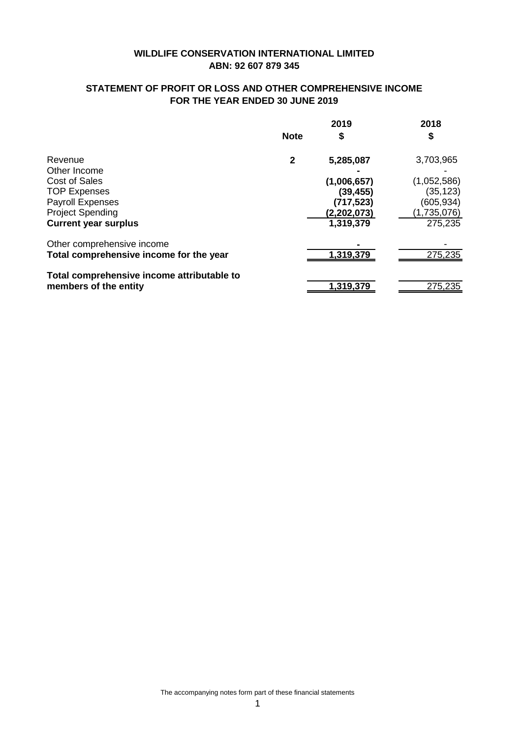# **STATEMENT OF PROFIT OR LOSS AND OTHER COMPREHENSIVE INCOME FOR THE YEAR ENDED 30 JUNE 2019**

|                                            |              | 2019        | 2018        |
|--------------------------------------------|--------------|-------------|-------------|
|                                            | <b>Note</b>  | \$          | \$          |
| Revenue                                    | $\mathbf{2}$ | 5,285,087   | 3,703,965   |
| Other Income                               |              |             |             |
| Cost of Sales                              |              | (1,006,657) | (1,052,586) |
| <b>TOP Expenses</b>                        |              | (39, 455)   | (35,123)    |
| <b>Payroll Expenses</b>                    |              | (717, 523)  | (605,934)   |
| <b>Project Spending</b>                    |              | (2,202,073) | (1,735,076) |
| <b>Current year surplus</b>                |              | 1,319,379   | 275,235     |
| Other comprehensive income                 |              |             |             |
| Total comprehensive income for the year    |              | 1,319,379   | 275,235     |
| Total comprehensive income attributable to |              |             |             |
| members of the entity                      |              | 1,319,379   | 275,235     |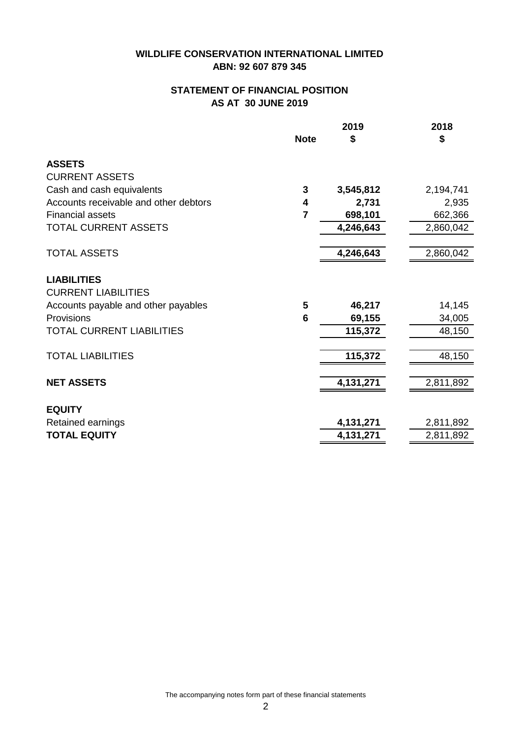# **STATEMENT OF FINANCIAL POSITION AS AT 30 JUNE 2019**

|                                       |                | 2019      | 2018      |
|---------------------------------------|----------------|-----------|-----------|
|                                       | <b>Note</b>    | \$        | \$        |
| <b>ASSETS</b>                         |                |           |           |
| <b>CURRENT ASSETS</b>                 |                |           |           |
| Cash and cash equivalents             | 3              | 3,545,812 | 2,194,741 |
| Accounts receivable and other debtors | 4              | 2,731     | 2,935     |
| <b>Financial assets</b>               | $\overline{7}$ | 698,101   | 662,366   |
| TOTAL CURRENT ASSETS                  |                | 4,246,643 | 2,860,042 |
|                                       |                |           |           |
| <b>TOTAL ASSETS</b>                   |                | 4,246,643 | 2,860,042 |
| <b>LIABILITIES</b>                    |                |           |           |
| <b>CURRENT LIABILITIES</b>            |                |           |           |
| Accounts payable and other payables   | 5              | 46,217    | 14,145    |
| Provisions                            | 6              | 69,155    | 34,005    |
| <b>TOTAL CURRENT LIABILITIES</b>      |                | 115,372   | 48,150    |
|                                       |                |           |           |
| <b>TOTAL LIABILITIES</b>              |                | 115,372   | 48,150    |
|                                       |                |           |           |
| <b>NET ASSETS</b>                     |                | 4,131,271 | 2,811,892 |
|                                       |                |           |           |
| <b>EQUITY</b>                         |                |           |           |
| Retained earnings                     |                | 4,131,271 | 2,811,892 |
| <b>TOTAL EQUITY</b>                   |                | 4,131,271 | 2,811,892 |

The accompanying notes form part of these financial statements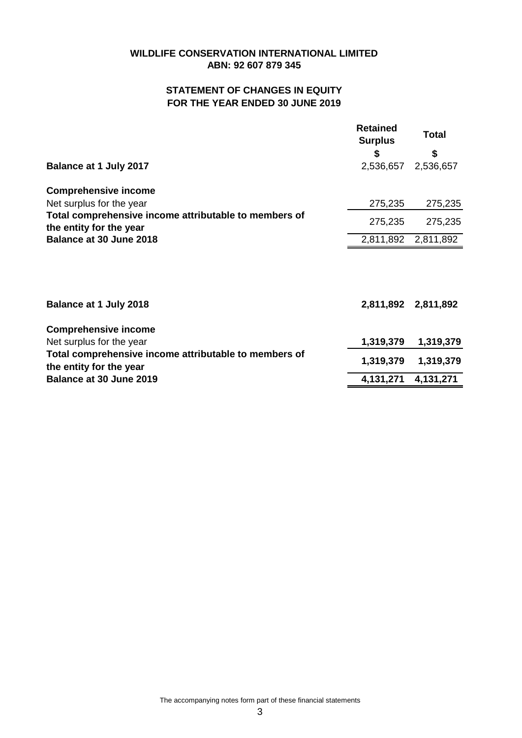# **ABN: 92 607 879 345 WILDLIFE CONSERVATION INTERNATIONAL LIMITED**

# **STATEMENT OF CHANGES IN EQUITY FOR THE YEAR ENDED 30 JUNE 2019**

| Balance at 1 July 2017                                                                                       | <b>Retained</b><br><b>Surplus</b><br>\$<br>2,536,657 | <b>Total</b><br>\$<br>2,536,657 |
|--------------------------------------------------------------------------------------------------------------|------------------------------------------------------|---------------------------------|
| <b>Comprehensive income</b>                                                                                  |                                                      |                                 |
| Net surplus for the year<br>Total comprehensive income attributable to members of<br>the entity for the year | 275,235<br>275,235                                   | 275,235<br>275,235              |
| <b>Balance at 30 June 2018</b>                                                                               | 2,811,892                                            | 2,811,892                       |
| <b>Balance at 1 July 2018</b>                                                                                | 2,811,892                                            | 2,811,892                       |
| <b>Comprehensive income</b><br>Net surplus for the year                                                      | 1,319,379                                            | 1,319,379                       |
| Total comprehensive income attributable to members of<br>the entity for the year                             | 1,319,379                                            | 1,319,379                       |
| Balance at 30 June 2019                                                                                      | 4,131,271                                            | 4,131,271                       |

The accompanying notes form part of these financial statements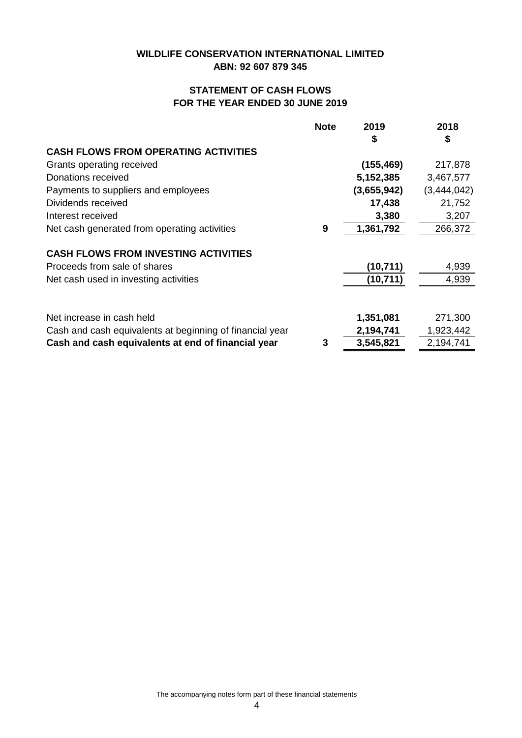# **STATEMENT OF CASH FLOWS FOR THE YEAR ENDED 30 JUNE 2019**

|                                                          | <b>Note</b> | 2019        | 2018        |
|----------------------------------------------------------|-------------|-------------|-------------|
|                                                          |             | 5           | \$          |
| <b>CASH FLOWS FROM OPERATING ACTIVITIES</b>              |             |             |             |
| Grants operating received                                |             | (155, 469)  | 217,878     |
| Donations received                                       |             | 5,152,385   | 3,467,577   |
| Payments to suppliers and employees                      |             | (3,655,942) | (3,444,042) |
| Dividends received                                       |             | 17,438      | 21,752      |
| Interest received                                        |             | 3,380       | 3,207       |
| Net cash generated from operating activities             | 9           | 1,361,792   | 266,372     |
|                                                          |             |             |             |
| <b>CASH FLOWS FROM INVESTING ACTIVITIES</b>              |             |             |             |
| Proceeds from sale of shares                             |             | (10, 711)   | 4,939       |
| Net cash used in investing activities                    |             | (10, 711)   | 4,939       |
|                                                          |             |             |             |
| Net increase in cash held                                |             | 1,351,081   | 271,300     |
| Cash and cash equivalents at beginning of financial year |             | 2,194,741   | 1,923,442   |
| Cash and cash equivalents at end of financial year       | 3           | 3,545,821   | 2,194,741   |

The accompanying notes form part of these financial statements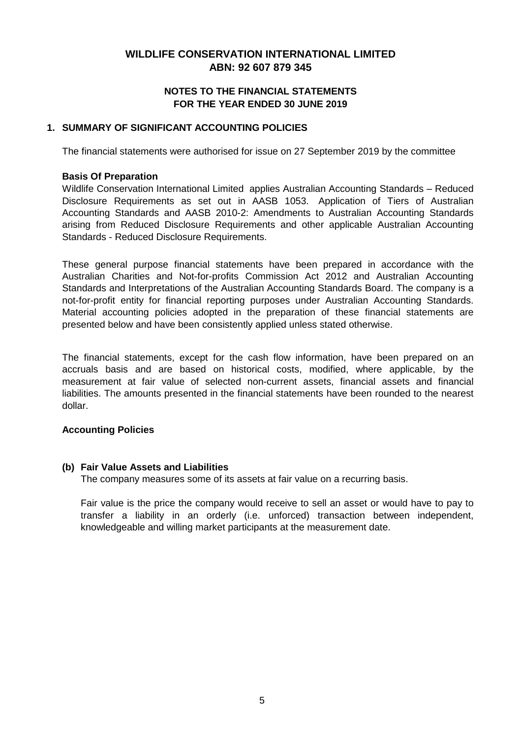## **FOR THE YEAR ENDED 30 JUNE 2019 NOTES TO THE FINANCIAL STATEMENTS**

## **1. SUMMARY OF SIGNIFICANT ACCOUNTING POLICIES**

The financial statements were authorised for issue on 27 September 2019 by the committee

#### **Basis Of Preparation**

Wildlife Conservation International Limited applies Australian Accounting Standards – Reduced Disclosure Requirements as set out in AASB 1053. Application of Tiers of Australian Accounting Standards and AASB 2010-2: Amendments to Australian Accounting Standards arising from Reduced Disclosure Requirements and other applicable Australian Accounting Standards - Reduced Disclosure Requirements.

These general purpose financial statements have been prepared in accordance with the Australian Charities and Not-for-profits Commission Act 2012 and Australian Accounting Standards and Interpretations of the Australian Accounting Standards Board. The company is a not-for-profit entity for financial reporting purposes under Australian Accounting Standards. Material accounting policies adopted in the preparation of these financial statements are presented below and have been consistently applied unless stated otherwise.

The financial statements, except for the cash flow information, have been prepared on an accruals basis and are based on historical costs, modified, where applicable, by the measurement at fair value of selected non-current assets, financial assets and financial liabilities. The amounts presented in the financial statements have been rounded to the nearest dollar.

## **Accounting Policies**

## **(b) Fair Value Assets and Liabilities**

The company measures some of its assets at fair value on a recurring basis.

Fair value is the price the company would receive to sell an asset or would have to pay to transfer a liability in an orderly (i.e. unforced) transaction between independent, knowledgeable and willing market participants at the measurement date.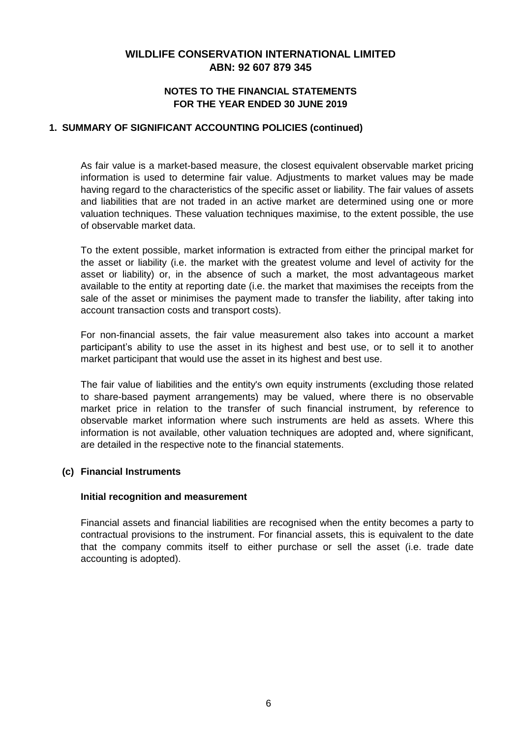## **NOTES TO THE FINANCIAL STATEMENTS FOR THE YEAR ENDED 30 JUNE 2019**

## **1. SUMMARY OF SIGNIFICANT ACCOUNTING POLICIES (continued)**

As fair value is a market-based measure, the closest equivalent observable market pricing information is used to determine fair value. Adjustments to market values may be made having regard to the characteristics of the specific asset or liability. The fair values of assets and liabilities that are not traded in an active market are determined using one or more valuation techniques. These valuation techniques maximise, to the extent possible, the use of observable market data.

To the extent possible, market information is extracted from either the principal market for the asset or liability (i.e. the market with the greatest volume and level of activity for the asset or liability) or, in the absence of such a market, the most advantageous market available to the entity at reporting date (i.e. the market that maximises the receipts from the sale of the asset or minimises the payment made to transfer the liability, after taking into account transaction costs and transport costs).

For non-financial assets, the fair value measurement also takes into account a market participant's ability to use the asset in its highest and best use, or to sell it to another market participant that would use the asset in its highest and best use.

The fair value of liabilities and the entity's own equity instruments (excluding those related to share-based payment arrangements) may be valued, where there is no observable market price in relation to the transfer of such financial instrument, by reference to observable market information where such instruments are held as assets. Where this information is not available, other valuation techniques are adopted and, where significant, are detailed in the respective note to the financial statements.

## **(c) Financial Instruments**

## **Initial recognition and measurement**

Financial assets and financial liabilities are recognised when the entity becomes a party to contractual provisions to the instrument. For financial assets, this is equivalent to the date that the company commits itself to either purchase or sell the asset (i.e. trade date accounting is adopted).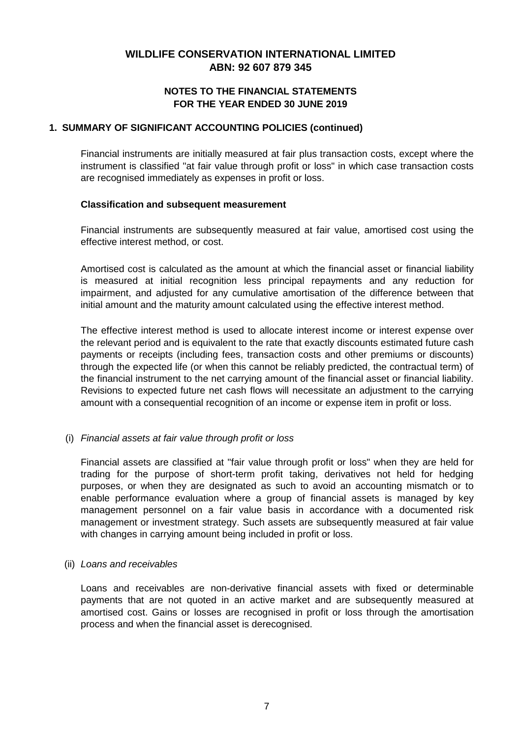## **NOTES TO THE FINANCIAL STATEMENTS FOR THE YEAR ENDED 30 JUNE 2019**

## **1. SUMMARY OF SIGNIFICANT ACCOUNTING POLICIES (continued)**

Financial instruments are initially measured at fair plus transaction costs, except where the instrument is classified "at fair value through profit or loss" in which case transaction costs are recognised immediately as expenses in profit or loss.

#### **Classification and subsequent measurement**

Financial instruments are subsequently measured at fair value, amortised cost using the effective interest method, or cost.

Amortised cost is calculated as the amount at which the financial asset or financial liability is measured at initial recognition less principal repayments and any reduction for impairment, and adjusted for any cumulative amortisation of the difference between that initial amount and the maturity amount calculated using the effective interest method.

The effective interest method is used to allocate interest income or interest expense over the relevant period and is equivalent to the rate that exactly discounts estimated future cash payments or receipts (including fees, transaction costs and other premiums or discounts) through the expected life (or when this cannot be reliably predicted, the contractual term) of the financial instrument to the net carrying amount of the financial asset or financial liability. Revisions to expected future net cash flows will necessitate an adjustment to the carrying amount with a consequential recognition of an income or expense item in profit or loss.

## (i) *Financial assets at fair value through profit or loss*

Financial assets are classified at "fair value through profit or loss" when they are held for trading for the purpose of short-term profit taking, derivatives not held for hedging purposes, or when they are designated as such to avoid an accounting mismatch or to enable performance evaluation where a group of financial assets is managed by key management personnel on a fair value basis in accordance with a documented risk management or investment strategy. Such assets are subsequently measured at fair value with changes in carrying amount being included in profit or loss.

## (ii) *Loans and receivables*

Loans and receivables are non-derivative financial assets with fixed or determinable payments that are not quoted in an active market and are subsequently measured at amortised cost. Gains or losses are recognised in profit or loss through the amortisation process and when the financial asset is derecognised.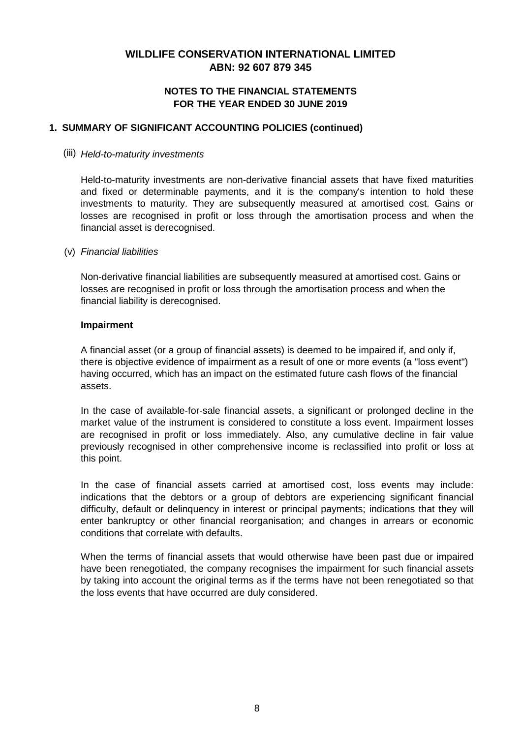## **NOTES TO THE FINANCIAL STATEMENTS FOR THE YEAR ENDED 30 JUNE 2019**

## **1. SUMMARY OF SIGNIFICANT ACCOUNTING POLICIES (continued)**

#### (iii) *Held-to-maturity investments*

Held-to-maturity investments are non-derivative financial assets that have fixed maturities and fixed or determinable payments, and it is the company's intention to hold these investments to maturity. They are subsequently measured at amortised cost. Gains or losses are recognised in profit or loss through the amortisation process and when the financial asset is derecognised.

#### (v) *Financial liabilities*

Non-derivative financial liabilities are subsequently measured at amortised cost. Gains or losses are recognised in profit or loss through the amortisation process and when the financial liability is derecognised.

#### **Impairment**

A financial asset (or a group of financial assets) is deemed to be impaired if, and only if, there is objective evidence of impairment as a result of one or more events (a "loss event") having occurred, which has an impact on the estimated future cash flows of the financial assets.

In the case of available-for-sale financial assets, a significant or prolonged decline in the market value of the instrument is considered to constitute a loss event. Impairment losses are recognised in profit or loss immediately. Also, any cumulative decline in fair value previously recognised in other comprehensive income is reclassified into profit or loss at this point.

In the case of financial assets carried at amortised cost, loss events may include: indications that the debtors or a group of debtors are experiencing significant financial difficulty, default or delinquency in interest or principal payments; indications that they will enter bankruptcy or other financial reorganisation; and changes in arrears or economic conditions that correlate with defaults.

When the terms of financial assets that would otherwise have been past due or impaired have been renegotiated, the company recognises the impairment for such financial assets by taking into account the original terms as if the terms have not been renegotiated so that the loss events that have occurred are duly considered.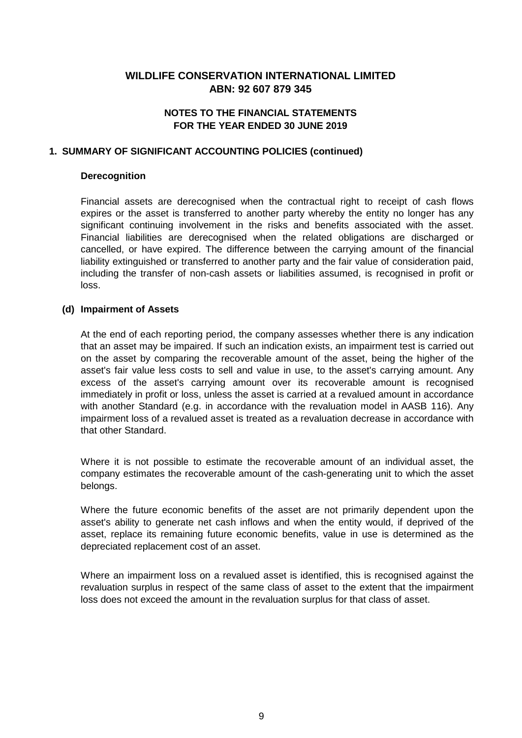# **NOTES TO THE FINANCIAL STATEMENTS FOR THE YEAR ENDED 30 JUNE 2019**

#### **1. SUMMARY OF SIGNIFICANT ACCOUNTING POLICIES (continued)**

#### **Derecognition**

Financial assets are derecognised when the contractual right to receipt of cash flows expires or the asset is transferred to another party whereby the entity no longer has any significant continuing involvement in the risks and benefits associated with the asset. Financial liabilities are derecognised when the related obligations are discharged or cancelled, or have expired. The difference between the carrying amount of the financial liability extinguished or transferred to another party and the fair value of consideration paid, including the transfer of non-cash assets or liabilities assumed, is recognised in profit or loss.

#### **(d) Impairment of Assets**

At the end of each reporting period, the company assesses whether there is any indication that an asset may be impaired. If such an indication exists, an impairment test is carried out on the asset by comparing the recoverable amount of the asset, being the higher of the asset's fair value less costs to sell and value in use, to the asset's carrying amount. Any excess of the asset's carrying amount over its recoverable amount is recognised immediately in profit or loss, unless the asset is carried at a revalued amount in accordance with another Standard (e.g. in accordance with the revaluation model in AASB 116). Any impairment loss of a revalued asset is treated as a revaluation decrease in accordance with that other Standard.

Where it is not possible to estimate the recoverable amount of an individual asset, the company estimates the recoverable amount of the cash-generating unit to which the asset belongs.

Where the future economic benefits of the asset are not primarily dependent upon the asset's ability to generate net cash inflows and when the entity would, if deprived of the asset, replace its remaining future economic benefits, value in use is determined as the depreciated replacement cost of an asset.

Where an impairment loss on a revalued asset is identified, this is recognised against the revaluation surplus in respect of the same class of asset to the extent that the impairment loss does not exceed the amount in the revaluation surplus for that class of asset.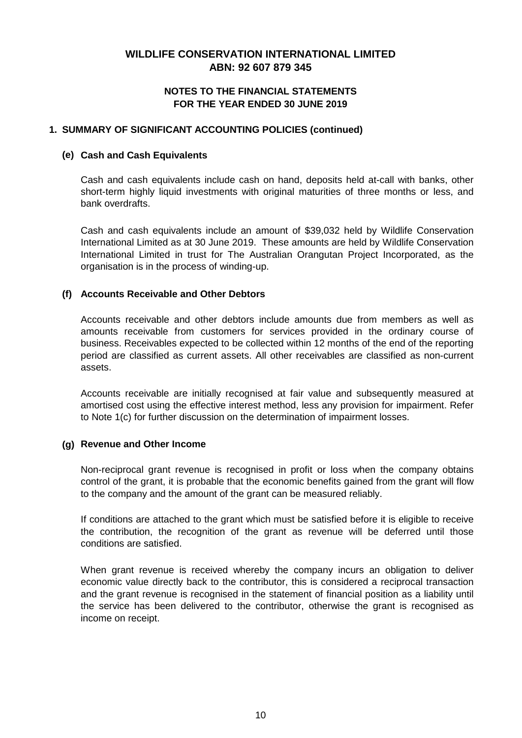## **NOTES TO THE FINANCIAL STATEMENTS FOR THE YEAR ENDED 30 JUNE 2019**

## **1. SUMMARY OF SIGNIFICANT ACCOUNTING POLICIES (continued)**

#### **(e) Cash and Cash Equivalents**

Cash and cash equivalents include cash on hand, deposits held at-call with banks, other short-term highly liquid investments with original maturities of three months or less, and bank overdrafts.

Cash and cash equivalents include an amount of \$39,032 held by Wildlife Conservation International Limited as at 30 June 2019. These amounts are held by Wildlife Conservation International Limited in trust for The Australian Orangutan Project Incorporated, as the organisation is in the process of winding-up.

## **(f) Accounts Receivable and Other Debtors**

Accounts receivable and other debtors include amounts due from members as well as amounts receivable from customers for services provided in the ordinary course of business. Receivables expected to be collected within 12 months of the end of the reporting period are classified as current assets. All other receivables are classified as non-current assets.

Accounts receivable are initially recognised at fair value and subsequently measured at amortised cost using the effective interest method, less any provision for impairment. Refer to Note 1(c) for further discussion on the determination of impairment losses.

## **(g) Revenue and Other Income**

Non-reciprocal grant revenue is recognised in profit or loss when the company obtains control of the grant, it is probable that the economic benefits gained from the grant will flow to the company and the amount of the grant can be measured reliably.

If conditions are attached to the grant which must be satisfied before it is eligible to receive the contribution, the recognition of the grant as revenue will be deferred until those conditions are satisfied.

When grant revenue is received whereby the company incurs an obligation to deliver economic value directly back to the contributor, this is considered a reciprocal transaction and the grant revenue is recognised in the statement of financial position as a liability until the service has been delivered to the contributor, otherwise the grant is recognised as income on receipt.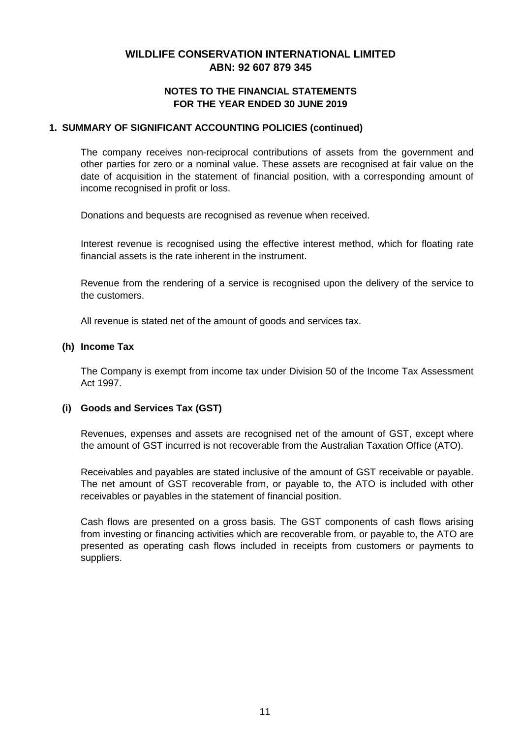## **NOTES TO THE FINANCIAL STATEMENTS FOR THE YEAR ENDED 30 JUNE 2019**

#### **1. SUMMARY OF SIGNIFICANT ACCOUNTING POLICIES (continued)**

The company receives non-reciprocal contributions of assets from the government and other parties for zero or a nominal value. These assets are recognised at fair value on the date of acquisition in the statement of financial position, with a corresponding amount of income recognised in profit or loss.

Donations and bequests are recognised as revenue when received.

Interest revenue is recognised using the effective interest method, which for floating rate financial assets is the rate inherent in the instrument.

Revenue from the rendering of a service is recognised upon the delivery of the service to the customers.

All revenue is stated net of the amount of goods and services tax.

#### **(h) Income Tax**

The Company is exempt from income tax under Division 50 of the Income Tax Assessment Act 1997.

## **(i) Goods and Services Tax (GST)**

Revenues, expenses and assets are recognised net of the amount of GST, except where the amount of GST incurred is not recoverable from the Australian Taxation Office (ATO).

Receivables and payables are stated inclusive of the amount of GST receivable or payable. The net amount of GST recoverable from, or payable to, the ATO is included with other receivables or payables in the statement of financial position.

Cash flows are presented on a gross basis. The GST components of cash flows arising from investing or financing activities which are recoverable from, or payable to, the ATO are presented as operating cash flows included in receipts from customers or payments to suppliers.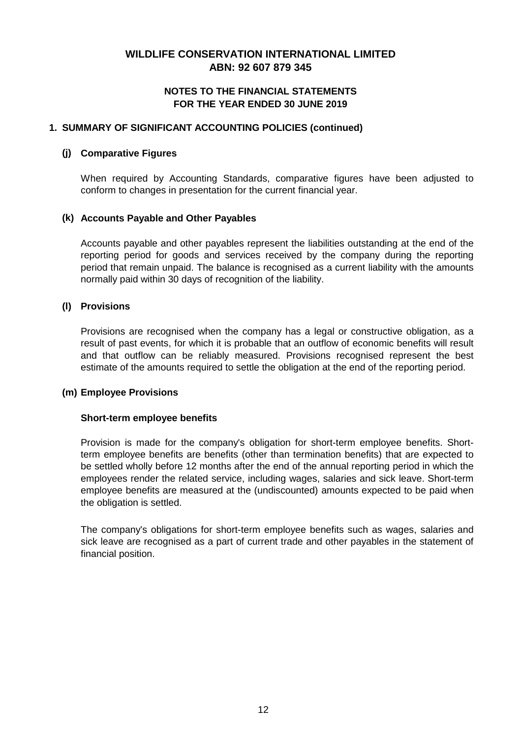## **NOTES TO THE FINANCIAL STATEMENTS FOR THE YEAR ENDED 30 JUNE 2019**

## **1. SUMMARY OF SIGNIFICANT ACCOUNTING POLICIES (continued)**

## **(j) Comparative Figures**

When required by Accounting Standards, comparative figures have been adjusted to conform to changes in presentation for the current financial year.

## **(k) Accounts Payable and Other Payables**

Accounts payable and other payables represent the liabilities outstanding at the end of the reporting period for goods and services received by the company during the reporting period that remain unpaid. The balance is recognised as a current liability with the amounts normally paid within 30 days of recognition of the liability.

## **(l) Provisions**

Provisions are recognised when the company has a legal or constructive obligation, as a result of past events, for which it is probable that an outflow of economic benefits will result and that outflow can be reliably measured. Provisions recognised represent the best estimate of the amounts required to settle the obligation at the end of the reporting period.

## **(m) Employee Provisions**

## **Short-term employee benefits**

Provision is made for the company's obligation for short-term employee benefits. Shortterm employee benefits are benefits (other than termination benefits) that are expected to be settled wholly before 12 months after the end of the annual reporting period in which the employees render the related service, including wages, salaries and sick leave. Short-term employee benefits are measured at the (undiscounted) amounts expected to be paid when the obligation is settled.

The company's obligations for short-term employee benefits such as wages, salaries and sick leave are recognised as a part of current trade and other payables in the statement of financial position.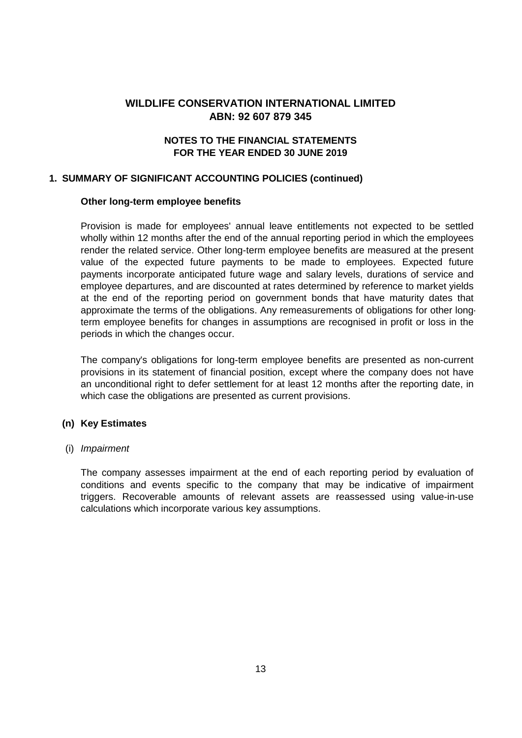# **ABN: 92 607 879 345** WILDLIFF CONSERVATION INTERNATIONAL LIMITED

## **NOTES TO THE FINANCIAL STATEMENTS FOR THE YEAR ENDED 30 JUNE 2019**

#### **1. SUMMARY OF SIGNIFICANT ACCOUNTING POLICIES (continued)**

#### **Other long-term employee benefits**

Provision is made for employees' annual leave entitlements not expected to be settled wholly within 12 months after the end of the annual reporting period in which the employees render the related service. Other long-term employee benefits are measured at the present value of the expected future payments to be made to employees. Expected future payments incorporate anticipated future wage and salary levels, durations of service and employee departures, and are discounted at rates determined by reference to market yields at the end of the reporting period on government bonds that have maturity dates that approximate the terms of the obligations. Any remeasurements of obligations for other longterm employee benefits for changes in assumptions are recognised in profit or loss in the periods in which the changes occur.

The company's obligations for long-term employee benefits are presented as non-current provisions in its statement of financial position, except where the company does not have an unconditional right to defer settlement for at least 12 months after the reporting date, in which case the obligations are presented as current provisions.

#### **(n) Key Estimates**

#### (i) *Impairment*

The company assesses impairment at the end of each reporting period by evaluation of conditions and events specific to the company that may be indicative of impairment triggers. Recoverable amounts of relevant assets are reassessed using value-in-use calculations which incorporate various key assumptions.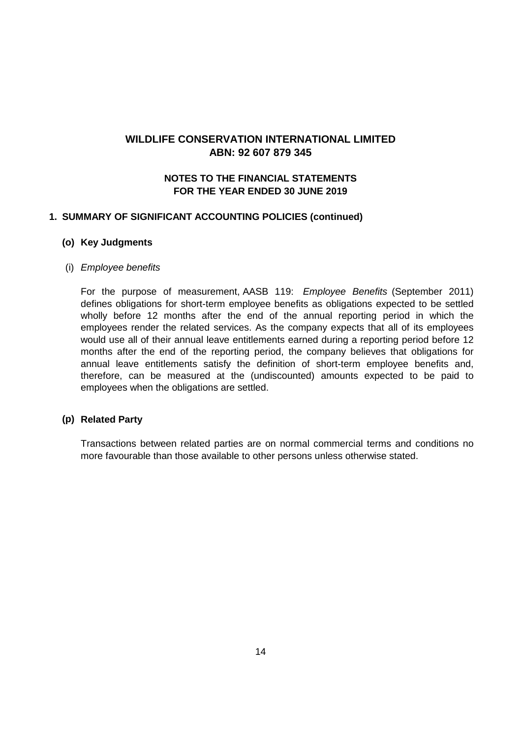## **NOTES TO THE FINANCIAL STATEMENTS FOR THE YEAR ENDED 30 JUNE 2019**

#### **1. SUMMARY OF SIGNIFICANT ACCOUNTING POLICIES (continued)**

#### **(o) Key Judgments**

## (i) *Employee benefits*

For the purpose of measurement, AASB 119: *Employee Benefits* (September 2011) defines obligations for short-term employee benefits as obligations expected to be settled wholly before 12 months after the end of the annual reporting period in which the employees render the related services. As the company expects that all of its employees would use all of their annual leave entitlements earned during a reporting period before 12 months after the end of the reporting period, the company believes that obligations for annual leave entitlements satisfy the definition of short-term employee benefits and, therefore, can be measured at the (undiscounted) amounts expected to be paid to employees when the obligations are settled.

## **(p) Related Party**

Transactions between related parties are on normal commercial terms and conditions no more favourable than those available to other persons unless otherwise stated.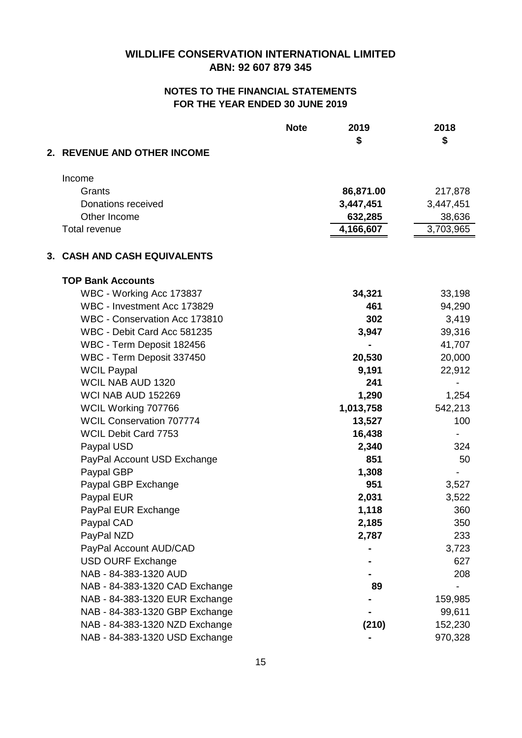|                                 | <b>Note</b> | 2019<br>\$ | 2018<br>\$ |
|---------------------------------|-------------|------------|------------|
| 2. REVENUE AND OTHER INCOME     |             |            |            |
| Income                          |             |            |            |
| Grants                          |             | 86,871.00  | 217,878    |
| Donations received              |             | 3,447,451  | 3,447,451  |
| Other Income                    |             | 632,285    | 38,636     |
| <b>Total revenue</b>            |             | 4,166,607  | 3,703,965  |
| 3. CASH AND CASH EQUIVALENTS    |             |            |            |
| <b>TOP Bank Accounts</b>        |             |            |            |
| WBC - Working Acc 173837        |             | 34,321     | 33,198     |
| WBC - Investment Acc 173829     |             | 461        | 94,290     |
| WBC - Conservation Acc 173810   |             | 302        | 3,419      |
| WBC - Debit Card Acc 581235     |             | 3,947      | 39,316     |
| WBC - Term Deposit 182456       |             |            | 41,707     |
| WBC - Term Deposit 337450       |             | 20,530     | 20,000     |
| <b>WCIL Paypal</b>              |             | 9,191      | 22,912     |
| WCIL NAB AUD 1320               |             | 241        |            |
| WCI NAB AUD 152269              |             | 1,290      | 1,254      |
| WCIL Working 707766             |             | 1,013,758  | 542,213    |
| <b>WCIL Conservation 707774</b> |             | 13,527     | 100        |
| <b>WCIL Debit Card 7753</b>     |             | 16,438     |            |
| Paypal USD                      |             | 2,340      | 324        |
| PayPal Account USD Exchange     |             | 851        | 50         |
| Paypal GBP                      |             | 1,308      |            |
| Paypal GBP Exchange             |             | 951        | 3,527      |
| Paypal EUR                      |             | 2,031      | 3,522      |
| PayPal EUR Exchange             |             | 1,118      | 360        |
| Paypal CAD                      |             | 2,185      | 350        |
| PayPal NZD                      |             | 2,787      | 233        |
| PayPal Account AUD/CAD          |             |            | 3,723      |
| <b>USD OURF Exchange</b>        |             |            | 627        |
| NAB - 84-383-1320 AUD           |             |            | 208        |
| NAB - 84-383-1320 CAD Exchange  |             | 89         |            |
| NAB - 84-383-1320 EUR Exchange  |             |            | 159,985    |
| NAB - 84-383-1320 GBP Exchange  |             |            | 99,611     |
| NAB - 84-383-1320 NZD Exchange  |             | (210)      | 152,230    |
| NAB - 84-383-1320 USD Exchange  |             |            | 970,328    |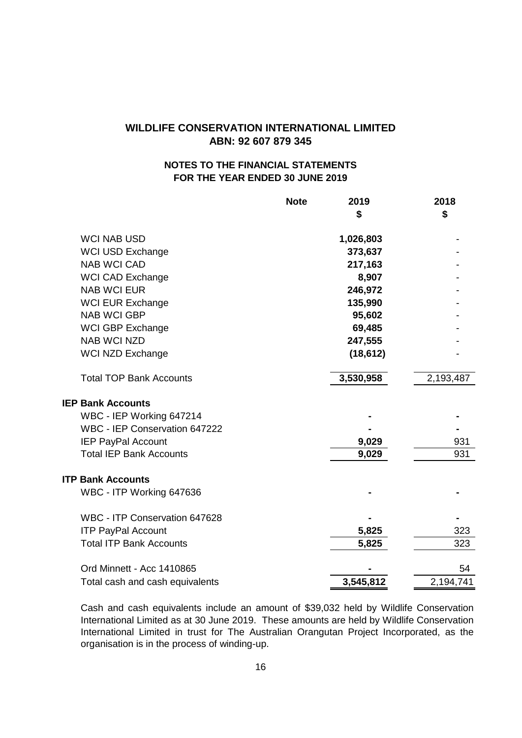# **NOTES TO THE FINANCIAL STATEMENTS FOR THE YEAR ENDED 30 JUNE 2019**

|                                 | <b>Note</b> | 2019      | 2018      |
|---------------------------------|-------------|-----------|-----------|
|                                 |             | \$        | \$        |
| <b>WCI NAB USD</b>              |             | 1,026,803 |           |
| <b>WCI USD Exchange</b>         |             | 373,637   |           |
| <b>NAB WCI CAD</b>              |             | 217,163   |           |
| <b>WCI CAD Exchange</b>         |             | 8,907     |           |
| <b>NAB WCI EUR</b>              |             | 246,972   |           |
| <b>WCI EUR Exchange</b>         |             | 135,990   |           |
| <b>NAB WCI GBP</b>              |             | 95,602    |           |
| WCI GBP Exchange                |             | 69,485    |           |
| <b>NAB WCI NZD</b>              |             | 247,555   |           |
| <b>WCI NZD Exchange</b>         |             | (18, 612) |           |
| <b>Total TOP Bank Accounts</b>  |             | 3,530,958 | 2,193,487 |
| <b>IEP Bank Accounts</b>        |             |           |           |
| WBC - IEP Working 647214        |             |           |           |
| WBC - IEP Conservation 647222   |             |           |           |
| <b>IEP PayPal Account</b>       |             | 9,029     | 931       |
| <b>Total IEP Bank Accounts</b>  |             | 9,029     | 931       |
| <b>ITP Bank Accounts</b>        |             |           |           |
| WBC - ITP Working 647636        |             |           |           |
| WBC - ITP Conservation 647628   |             |           |           |
| <b>ITP PayPal Account</b>       |             | 5,825     | 323       |
| <b>Total ITP Bank Accounts</b>  |             | 5,825     | 323       |
| Ord Minnett - Acc 1410865       |             |           | 54        |
| Total cash and cash equivalents |             | 3,545,812 | 2,194,741 |

Cash and cash equivalents include an amount of \$39,032 held by Wildlife Conservation International Limited as at 30 June 2019. These amounts are held by Wildlife Conservation International Limited in trust for The Australian Orangutan Project Incorporated, as the organisation is in the process of winding-up.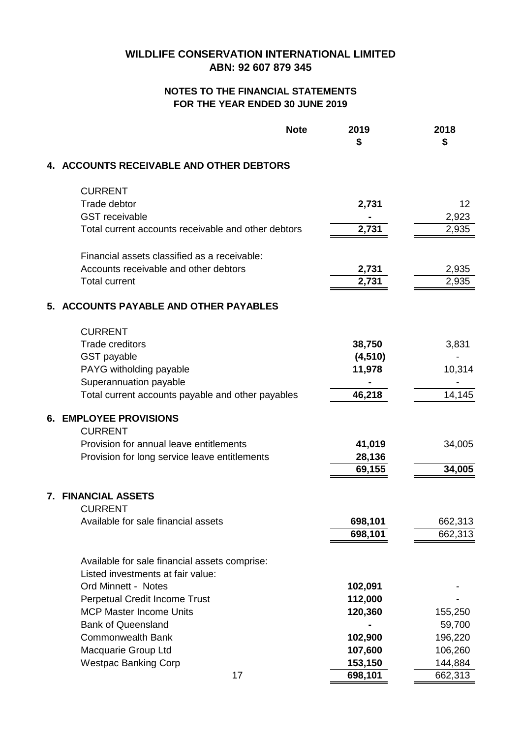# **FOR THE YEAR ENDED 30 JUNE 2019 NOTES TO THE FINANCIAL STATEMENTS**

| <b>Note</b>                                         | 2019<br>\$ | 2018<br>\$ |
|-----------------------------------------------------|------------|------------|
| 4. ACCOUNTS RECEIVABLE AND OTHER DEBTORS            |            |            |
| <b>CURRENT</b>                                      |            |            |
| Trade debtor                                        | 2,731      | 12         |
| <b>GST</b> receivable                               |            | 2,923      |
| Total current accounts receivable and other debtors | 2,731      | 2,935      |
| Financial assets classified as a receivable:        |            |            |
| Accounts receivable and other debtors               | 2,731      | 2,935      |
| <b>Total current</b>                                | 2,731      | 2,935      |
| 5. ACCOUNTS PAYABLE AND OTHER PAYABLES              |            |            |
| <b>CURRENT</b>                                      |            |            |
| <b>Trade creditors</b>                              | 38,750     | 3,831      |
| <b>GST</b> payable                                  | (4, 510)   |            |
| PAYG witholding payable                             | 11,978     | 10,314     |
| Superannuation payable                              |            |            |
| Total current accounts payable and other payables   | 46,218     | 14,145     |
| <b>6. EMPLOYEE PROVISIONS</b><br><b>CURRENT</b>     |            |            |
| Provision for annual leave entitlements             | 41,019     | 34,005     |
| Provision for long service leave entitlements       | 28,136     |            |
|                                                     | 69,155     | 34,005     |
| 7. FINANCIAL ASSETS                                 |            |            |
| <b>CURRENT</b>                                      |            |            |
| Available for sale financial assets                 | 698,101    | 662,313    |
|                                                     | 698,101    | 662,313    |
| Available for sale financial assets comprise:       |            |            |
| Listed investments at fair value:                   |            |            |
| Ord Minnett - Notes                                 | 102,091    |            |
| <b>Perpetual Credit Income Trust</b>                | 112,000    |            |
| <b>MCP Master Income Units</b>                      | 120,360    | 155,250    |
| <b>Bank of Queensland</b>                           |            | 59,700     |
| <b>Commonwealth Bank</b>                            | 102,900    | 196,220    |
| Macquarie Group Ltd                                 | 107,600    | 106,260    |
| <b>Westpac Banking Corp</b>                         | 153,150    | 144,884    |
| 17                                                  | 698,101    | 662,313    |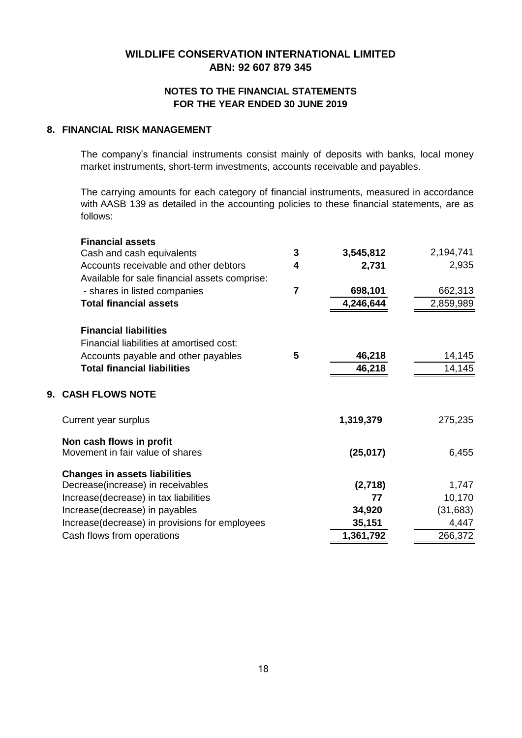# **ABN: 92 607 879 345 WILDLIFE CONSERVATION INTERNATIONAL LIMITED**

## **FOR THE YEAR ENDED 30 JUNE 2019 NOTES TO THE FINANCIAL STATEMENTS**

#### **8. FINANCIAL RISK MANAGEMENT**

The company's financial instruments consist mainly of deposits with banks, local money market instruments, short-term investments, accounts receivable and payables.

The carrying amounts for each category of financial instruments, measured in accordance with AASB 139 as detailed in the accounting policies to these financial statements, are as follows:

| <b>Financial assets</b>                        |                |           |           |
|------------------------------------------------|----------------|-----------|-----------|
| Cash and cash equivalents                      | 3              | 3,545,812 | 2,194,741 |
| Accounts receivable and other debtors          | 4              | 2,731     | 2,935     |
| Available for sale financial assets comprise:  |                |           |           |
| - shares in listed companies                   | $\overline{7}$ | 698,101   | 662,313   |
| <b>Total financial assets</b>                  |                | 4,246,644 | 2,859,989 |
|                                                |                |           |           |
| <b>Financial liabilities</b>                   |                |           |           |
| Financial liabilities at amortised cost:       |                |           |           |
| Accounts payable and other payables            | 5              | 46,218    | 14,145    |
| <b>Total financial liabilities</b>             |                | 46,218    | 14,145    |
|                                                |                |           |           |
| 9. CASH FLOWS NOTE                             |                |           |           |
| Current year surplus                           |                | 1,319,379 | 275,235   |
| Non cash flows in profit                       |                |           |           |
| Movement in fair value of shares               |                | (25, 017) | 6,455     |
|                                                |                |           |           |
| <b>Changes in assets liabilities</b>           |                |           |           |
| Decrease(increase) in receivables              |                | (2,718)   | 1,747     |
| Increase(decrease) in tax liabilities          |                | 77        | 10,170    |
| Increase(decrease) in payables                 |                | 34,920    | (31, 683) |
| Increase(decrease) in provisions for employees |                | 35,151    | 4,447     |
| Cash flows from operations                     |                | 1,361,792 | 266,372   |
|                                                |                |           |           |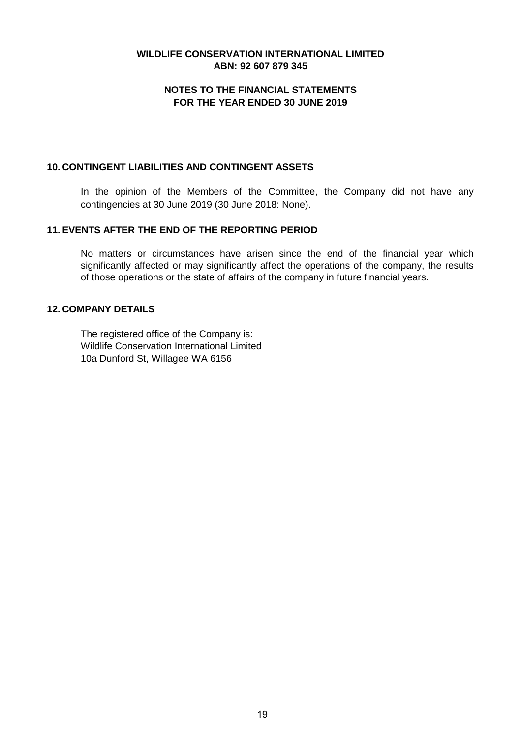## **ABN: 92 607 879 345 WILDLIFE CONSERVATION INTERNATIONAL LIMITED**

## **NOTES TO THE FINANCIAL STATEMENTS FOR THE YEAR ENDED 30 JUNE 2019**

#### **10. CONTINGENT LIABILITIES AND CONTINGENT ASSETS**

In the opinion of the Members of the Committee, the Company did not have any contingencies at 30 June 2019 (30 June 2018: None).

## **11. EVENTS AFTER THE END OF THE REPORTING PERIOD**

No matters or circumstances have arisen since the end of the financial year which significantly affected or may significantly affect the operations of the company, the results of those operations or the state of affairs of the company in future financial years.

## **12. COMPANY DETAILS**

The registered office of the Company is: Wildlife Conservation International Limited 10a Dunford St, Willagee WA 6156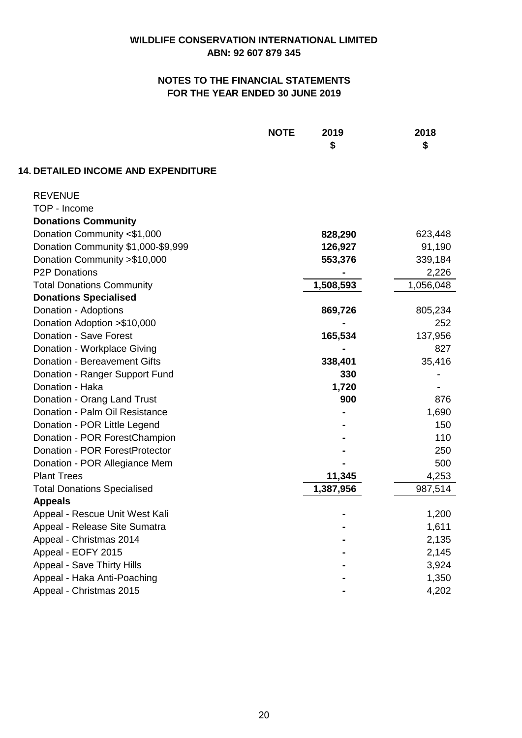|                                            | <b>NOTE</b><br>2019<br>\$ | 2018<br>\$ |
|--------------------------------------------|---------------------------|------------|
| <b>14. DETAILED INCOME AND EXPENDITURE</b> |                           |            |
| <b>REVENUE</b>                             |                           |            |
| TOP - Income                               |                           |            |
| <b>Donations Community</b>                 |                           |            |
| Donation Community <\$1,000                | 828,290                   | 623,448    |
| Donation Community \$1,000-\$9,999         | 126,927                   | 91,190     |
| Donation Community > \$10,000              | 553,376                   | 339,184    |
| <b>P2P Donations</b>                       |                           | 2,226      |
| <b>Total Donations Community</b>           | 1,508,593                 | 1,056,048  |
| <b>Donations Specialised</b>               |                           |            |
| Donation - Adoptions                       | 869,726                   | 805,234    |
| Donation Adoption > \$10,000               |                           | 252        |
| Donation - Save Forest                     | 165,534                   | 137,956    |
| Donation - Workplace Giving                |                           | 827        |
| <b>Donation - Bereavement Gifts</b>        | 338,401                   | 35,416     |
| Donation - Ranger Support Fund             | 330                       |            |
| Donation - Haka                            | 1,720                     |            |
| Donation - Orang Land Trust                | 900                       | 876        |
| Donation - Palm Oil Resistance             |                           | 1,690      |
| Donation - POR Little Legend               |                           | 150        |
| Donation - POR ForestChampion              |                           | 110        |
| Donation - POR ForestProtector             |                           | 250        |
| Donation - POR Allegiance Mem              |                           | 500        |
| <b>Plant Trees</b>                         | 11,345                    | 4,253      |
| <b>Total Donations Specialised</b>         | 1,387,956                 | 987,514    |
| <b>Appeals</b>                             |                           |            |
| Appeal - Rescue Unit West Kali             |                           | 1,200      |
| Appeal - Release Site Sumatra              |                           | 1,611      |
| Appeal - Christmas 2014                    |                           | 2,135      |
| Appeal - EOFY 2015                         |                           | 2,145      |
| <b>Appeal - Save Thirty Hills</b>          |                           | 3,924      |
| Appeal - Haka Anti-Poaching                |                           | 1,350      |
| Appeal - Christmas 2015                    |                           | 4,202      |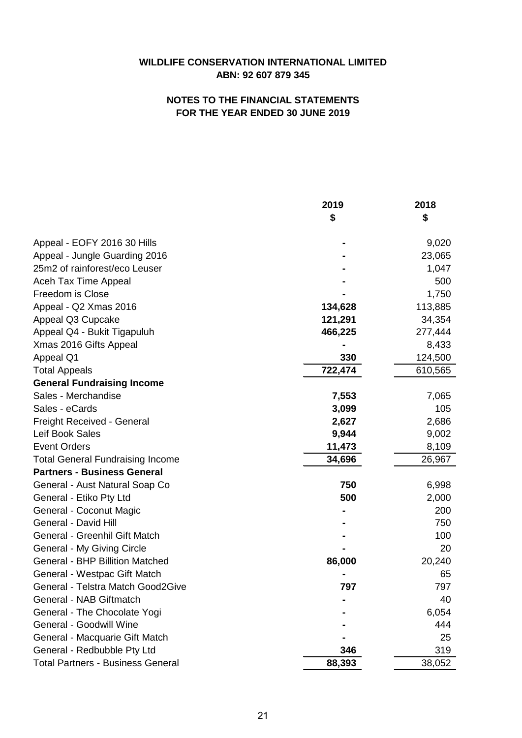| \$<br>\$<br>9,020<br>Appeal - EOFY 2016 30 Hills<br>Appeal - Jungle Guarding 2016<br>23,065<br>25m2 of rainforest/eco Leuser<br>1,047<br>Aceh Tax Time Appeal<br>500<br>Freedom is Close<br>1,750<br>Appeal - Q2 Xmas 2016<br>113,885<br>134,628<br>Appeal Q3 Cupcake<br>121,291<br>34,354<br>Appeal Q4 - Bukit Tigapuluh<br>277,444<br>466,225<br>Xmas 2016 Gifts Appeal<br>8,433<br>330<br>124,500<br>Appeal Q1<br>722,474<br>610,565<br><b>Total Appeals</b><br><b>General Fundraising Income</b><br>Sales - Merchandise<br>7,553<br>7,065<br>Sales - eCards<br>3,099<br>105<br>Freight Received - General<br>2,627<br>2,686<br>Leif Book Sales<br>9,002<br>9,944<br><b>Event Orders</b><br>11,473<br>8,109<br><b>Total General Fundraising Income</b><br>34,696<br>26,967<br><b>Partners - Business General</b><br>750<br>General - Aust Natural Soap Co<br>6,998<br>General - Etiko Pty Ltd<br>500<br>2,000<br>General - Coconut Magic<br>200<br>General - David Hill<br>750<br>General - Greenhil Gift Match<br>100<br>General - My Giving Circle<br>20<br><b>General - BHP Billition Matched</b><br>20,240<br>86,000<br>General - Westpac Gift Match<br>65<br>General - Telstra Match Good2Give<br>797<br>797<br>General - NAB Giftmatch<br>40<br>General - The Chocolate Yogi<br>6,054<br><b>General - Goodwill Wine</b><br>444<br>General - Macquarie Gift Match<br>25<br>General - Redbubble Pty Ltd<br>346<br>319 |                                          | 2019   | 2018   |
|------------------------------------------------------------------------------------------------------------------------------------------------------------------------------------------------------------------------------------------------------------------------------------------------------------------------------------------------------------------------------------------------------------------------------------------------------------------------------------------------------------------------------------------------------------------------------------------------------------------------------------------------------------------------------------------------------------------------------------------------------------------------------------------------------------------------------------------------------------------------------------------------------------------------------------------------------------------------------------------------------------------------------------------------------------------------------------------------------------------------------------------------------------------------------------------------------------------------------------------------------------------------------------------------------------------------------------------------------------------------------------------------------------------------------|------------------------------------------|--------|--------|
|                                                                                                                                                                                                                                                                                                                                                                                                                                                                                                                                                                                                                                                                                                                                                                                                                                                                                                                                                                                                                                                                                                                                                                                                                                                                                                                                                                                                                              |                                          |        |        |
|                                                                                                                                                                                                                                                                                                                                                                                                                                                                                                                                                                                                                                                                                                                                                                                                                                                                                                                                                                                                                                                                                                                                                                                                                                                                                                                                                                                                                              |                                          |        |        |
|                                                                                                                                                                                                                                                                                                                                                                                                                                                                                                                                                                                                                                                                                                                                                                                                                                                                                                                                                                                                                                                                                                                                                                                                                                                                                                                                                                                                                              |                                          |        |        |
|                                                                                                                                                                                                                                                                                                                                                                                                                                                                                                                                                                                                                                                                                                                                                                                                                                                                                                                                                                                                                                                                                                                                                                                                                                                                                                                                                                                                                              |                                          |        |        |
|                                                                                                                                                                                                                                                                                                                                                                                                                                                                                                                                                                                                                                                                                                                                                                                                                                                                                                                                                                                                                                                                                                                                                                                                                                                                                                                                                                                                                              |                                          |        |        |
|                                                                                                                                                                                                                                                                                                                                                                                                                                                                                                                                                                                                                                                                                                                                                                                                                                                                                                                                                                                                                                                                                                                                                                                                                                                                                                                                                                                                                              |                                          |        |        |
|                                                                                                                                                                                                                                                                                                                                                                                                                                                                                                                                                                                                                                                                                                                                                                                                                                                                                                                                                                                                                                                                                                                                                                                                                                                                                                                                                                                                                              |                                          |        |        |
|                                                                                                                                                                                                                                                                                                                                                                                                                                                                                                                                                                                                                                                                                                                                                                                                                                                                                                                                                                                                                                                                                                                                                                                                                                                                                                                                                                                                                              |                                          |        |        |
|                                                                                                                                                                                                                                                                                                                                                                                                                                                                                                                                                                                                                                                                                                                                                                                                                                                                                                                                                                                                                                                                                                                                                                                                                                                                                                                                                                                                                              |                                          |        |        |
|                                                                                                                                                                                                                                                                                                                                                                                                                                                                                                                                                                                                                                                                                                                                                                                                                                                                                                                                                                                                                                                                                                                                                                                                                                                                                                                                                                                                                              |                                          |        |        |
|                                                                                                                                                                                                                                                                                                                                                                                                                                                                                                                                                                                                                                                                                                                                                                                                                                                                                                                                                                                                                                                                                                                                                                                                                                                                                                                                                                                                                              |                                          |        |        |
|                                                                                                                                                                                                                                                                                                                                                                                                                                                                                                                                                                                                                                                                                                                                                                                                                                                                                                                                                                                                                                                                                                                                                                                                                                                                                                                                                                                                                              |                                          |        |        |
|                                                                                                                                                                                                                                                                                                                                                                                                                                                                                                                                                                                                                                                                                                                                                                                                                                                                                                                                                                                                                                                                                                                                                                                                                                                                                                                                                                                                                              |                                          |        |        |
|                                                                                                                                                                                                                                                                                                                                                                                                                                                                                                                                                                                                                                                                                                                                                                                                                                                                                                                                                                                                                                                                                                                                                                                                                                                                                                                                                                                                                              |                                          |        |        |
|                                                                                                                                                                                                                                                                                                                                                                                                                                                                                                                                                                                                                                                                                                                                                                                                                                                                                                                                                                                                                                                                                                                                                                                                                                                                                                                                                                                                                              |                                          |        |        |
|                                                                                                                                                                                                                                                                                                                                                                                                                                                                                                                                                                                                                                                                                                                                                                                                                                                                                                                                                                                                                                                                                                                                                                                                                                                                                                                                                                                                                              |                                          |        |        |
|                                                                                                                                                                                                                                                                                                                                                                                                                                                                                                                                                                                                                                                                                                                                                                                                                                                                                                                                                                                                                                                                                                                                                                                                                                                                                                                                                                                                                              |                                          |        |        |
|                                                                                                                                                                                                                                                                                                                                                                                                                                                                                                                                                                                                                                                                                                                                                                                                                                                                                                                                                                                                                                                                                                                                                                                                                                                                                                                                                                                                                              |                                          |        |        |
|                                                                                                                                                                                                                                                                                                                                                                                                                                                                                                                                                                                                                                                                                                                                                                                                                                                                                                                                                                                                                                                                                                                                                                                                                                                                                                                                                                                                                              |                                          |        |        |
|                                                                                                                                                                                                                                                                                                                                                                                                                                                                                                                                                                                                                                                                                                                                                                                                                                                                                                                                                                                                                                                                                                                                                                                                                                                                                                                                                                                                                              |                                          |        |        |
|                                                                                                                                                                                                                                                                                                                                                                                                                                                                                                                                                                                                                                                                                                                                                                                                                                                                                                                                                                                                                                                                                                                                                                                                                                                                                                                                                                                                                              |                                          |        |        |
|                                                                                                                                                                                                                                                                                                                                                                                                                                                                                                                                                                                                                                                                                                                                                                                                                                                                                                                                                                                                                                                                                                                                                                                                                                                                                                                                                                                                                              |                                          |        |        |
|                                                                                                                                                                                                                                                                                                                                                                                                                                                                                                                                                                                                                                                                                                                                                                                                                                                                                                                                                                                                                                                                                                                                                                                                                                                                                                                                                                                                                              |                                          |        |        |
|                                                                                                                                                                                                                                                                                                                                                                                                                                                                                                                                                                                                                                                                                                                                                                                                                                                                                                                                                                                                                                                                                                                                                                                                                                                                                                                                                                                                                              |                                          |        |        |
|                                                                                                                                                                                                                                                                                                                                                                                                                                                                                                                                                                                                                                                                                                                                                                                                                                                                                                                                                                                                                                                                                                                                                                                                                                                                                                                                                                                                                              |                                          |        |        |
|                                                                                                                                                                                                                                                                                                                                                                                                                                                                                                                                                                                                                                                                                                                                                                                                                                                                                                                                                                                                                                                                                                                                                                                                                                                                                                                                                                                                                              |                                          |        |        |
|                                                                                                                                                                                                                                                                                                                                                                                                                                                                                                                                                                                                                                                                                                                                                                                                                                                                                                                                                                                                                                                                                                                                                                                                                                                                                                                                                                                                                              |                                          |        |        |
|                                                                                                                                                                                                                                                                                                                                                                                                                                                                                                                                                                                                                                                                                                                                                                                                                                                                                                                                                                                                                                                                                                                                                                                                                                                                                                                                                                                                                              |                                          |        |        |
|                                                                                                                                                                                                                                                                                                                                                                                                                                                                                                                                                                                                                                                                                                                                                                                                                                                                                                                                                                                                                                                                                                                                                                                                                                                                                                                                                                                                                              |                                          |        |        |
|                                                                                                                                                                                                                                                                                                                                                                                                                                                                                                                                                                                                                                                                                                                                                                                                                                                                                                                                                                                                                                                                                                                                                                                                                                                                                                                                                                                                                              |                                          |        |        |
|                                                                                                                                                                                                                                                                                                                                                                                                                                                                                                                                                                                                                                                                                                                                                                                                                                                                                                                                                                                                                                                                                                                                                                                                                                                                                                                                                                                                                              |                                          |        |        |
|                                                                                                                                                                                                                                                                                                                                                                                                                                                                                                                                                                                                                                                                                                                                                                                                                                                                                                                                                                                                                                                                                                                                                                                                                                                                                                                                                                                                                              |                                          |        |        |
|                                                                                                                                                                                                                                                                                                                                                                                                                                                                                                                                                                                                                                                                                                                                                                                                                                                                                                                                                                                                                                                                                                                                                                                                                                                                                                                                                                                                                              |                                          |        |        |
|                                                                                                                                                                                                                                                                                                                                                                                                                                                                                                                                                                                                                                                                                                                                                                                                                                                                                                                                                                                                                                                                                                                                                                                                                                                                                                                                                                                                                              |                                          |        |        |
|                                                                                                                                                                                                                                                                                                                                                                                                                                                                                                                                                                                                                                                                                                                                                                                                                                                                                                                                                                                                                                                                                                                                                                                                                                                                                                                                                                                                                              | <b>Total Partners - Business General</b> | 88,393 | 38,052 |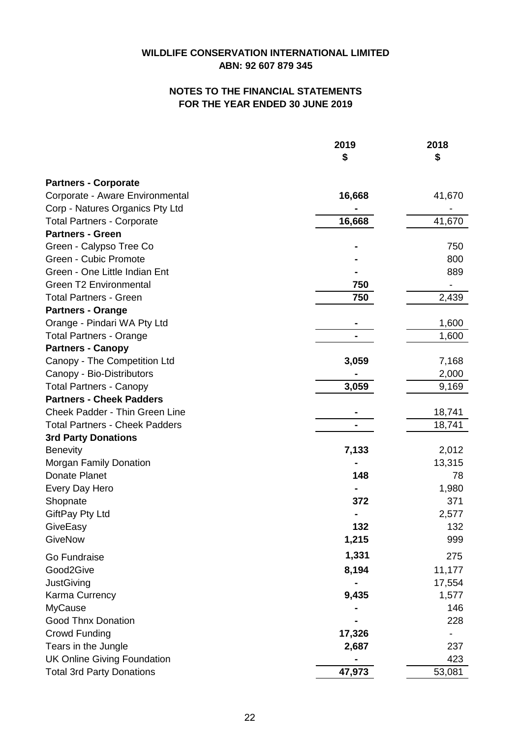|                                       | 2019<br>\$ | 2018<br>\$                   |
|---------------------------------------|------------|------------------------------|
| <b>Partners - Corporate</b>           |            |                              |
| Corporate - Aware Environmental       | 16,668     | 41,670                       |
| Corp - Natures Organics Pty Ltd       |            |                              |
| <b>Total Partners - Corporate</b>     | 16,668     | 41,670                       |
| <b>Partners - Green</b>               |            |                              |
| Green - Calypso Tree Co               |            | 750                          |
| Green - Cubic Promote                 |            | 800                          |
| Green - One Little Indian Ent         |            | 889                          |
| <b>Green T2 Environmental</b>         | 750        | $\qquad \qquad \blacksquare$ |
| <b>Total Partners - Green</b>         | 750        | 2,439                        |
| <b>Partners - Orange</b>              |            |                              |
| Orange - Pindari WA Pty Ltd           |            | 1,600                        |
| <b>Total Partners - Orange</b>        |            | 1,600                        |
| <b>Partners - Canopy</b>              |            |                              |
| Canopy - The Competition Ltd          | 3,059      | 7,168                        |
| Canopy - Bio-Distributors             |            | 2,000                        |
| <b>Total Partners - Canopy</b>        | 3,059      | 9,169                        |
| <b>Partners - Cheek Padders</b>       |            |                              |
| Cheek Padder - Thin Green Line        |            | 18,741                       |
| <b>Total Partners - Cheek Padders</b> |            | 18,741                       |
| <b>3rd Party Donations</b>            |            |                              |
| <b>Benevity</b>                       | 7,133      | 2,012                        |
| Morgan Family Donation                |            | 13,315                       |
| Donate Planet                         | 148        | 78                           |
| Every Day Hero                        |            | 1,980                        |
| Shopnate                              | 372        | 371                          |
| GiftPay Pty Ltd                       |            | 2,577                        |
| GiveEasy                              | 132        | 132                          |
| GiveNow                               | 1,215      | 999                          |
| Go Fundraise                          | 1,331      | 275                          |
| Good2Give                             | 8,194      | 11,177                       |
| JustGiving                            |            | 17,554                       |
| Karma Currency                        | 9,435      | 1,577                        |
| <b>MyCause</b>                        |            | 146                          |
| <b>Good Thnx Donation</b>             |            | 228                          |
| Crowd Funding                         | 17,326     |                              |
| Tears in the Jungle                   | 2,687      | 237                          |
| <b>UK Online Giving Foundation</b>    |            | 423                          |
| <b>Total 3rd Party Donations</b>      | 47,973     | 53,081                       |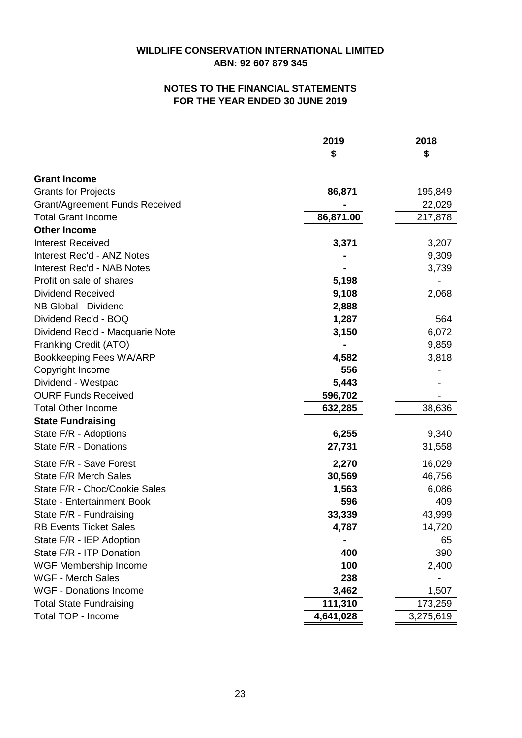|                                       | 2019      | 2018      |
|---------------------------------------|-----------|-----------|
|                                       | \$        | \$        |
| <b>Grant Income</b>                   |           |           |
| <b>Grants for Projects</b>            | 86,871    | 195,849   |
| <b>Grant/Agreement Funds Received</b> |           | 22,029    |
| <b>Total Grant Income</b>             | 86,871.00 | 217,878   |
| <b>Other Income</b>                   |           |           |
| <b>Interest Received</b>              | 3,371     | 3,207     |
| Interest Rec'd - ANZ Notes            |           | 9,309     |
| Interest Rec'd - NAB Notes            |           | 3,739     |
| Profit on sale of shares              | 5,198     |           |
| <b>Dividend Received</b>              | 9,108     | 2,068     |
| NB Global - Dividend                  | 2,888     |           |
| Dividend Rec'd - BOQ                  | 1,287     | 564       |
| Dividend Rec'd - Macquarie Note       | 3,150     | 6,072     |
| Franking Credit (ATO)                 |           | 9,859     |
| Bookkeeping Fees WA/ARP               | 4,582     | 3,818     |
| Copyright Income                      | 556       |           |
| Dividend - Westpac                    | 5,443     |           |
| <b>OURF Funds Received</b>            | 596,702   |           |
| <b>Total Other Income</b>             | 632,285   | 38,636    |
| <b>State Fundraising</b>              |           |           |
| State F/R - Adoptions                 | 6,255     | 9,340     |
| State F/R - Donations                 | 27,731    | 31,558    |
| State F/R - Save Forest               | 2,270     | 16,029    |
| <b>State F/R Merch Sales</b>          | 30,569    | 46,756    |
| State F/R - Choc/Cookie Sales         | 1,563     | 6,086     |
| <b>State - Entertainment Book</b>     | 596       | 409       |
| State F/R - Fundraising               | 33,339    | 43,999    |
| <b>RB Events Ticket Sales</b>         | 4,787     | 14,720    |
| State F/R - IEP Adoption              |           | 65        |
| State F/R - ITP Donation              | 400       | 390       |
| <b>WGF Membership Income</b>          | 100       | 2,400     |
| <b>WGF - Merch Sales</b>              | 238       |           |
| <b>WGF - Donations Income</b>         | 3,462     | 1,507     |
| <b>Total State Fundraising</b>        | 111,310   | 173,259   |
| Total TOP - Income                    | 4,641,028 | 3,275,619 |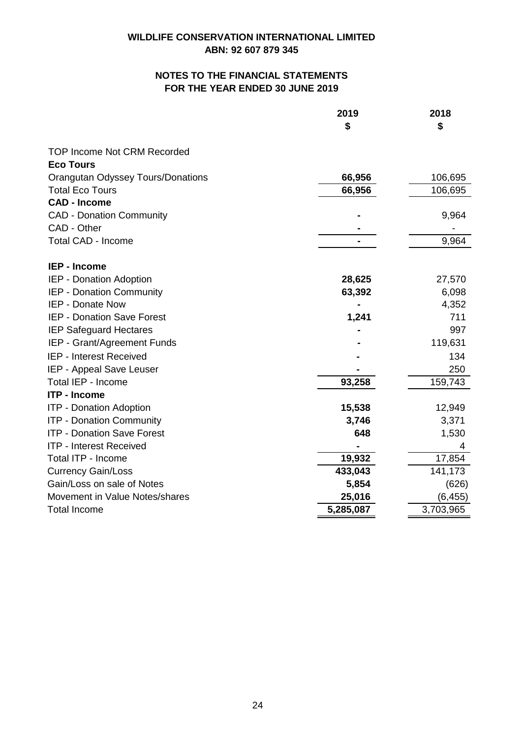|                                          | 2019      | 2018      |
|------------------------------------------|-----------|-----------|
|                                          | \$        | \$        |
| <b>TOP Income Not CRM Recorded</b>       |           |           |
| <b>Eco Tours</b>                         |           |           |
| <b>Orangutan Odyssey Tours/Donations</b> | 66,956    | 106,695   |
| <b>Total Eco Tours</b>                   | 66,956    | 106,695   |
| <b>CAD - Income</b>                      |           |           |
| <b>CAD - Donation Community</b>          |           | 9,964     |
| CAD - Other                              |           |           |
| <b>Total CAD - Income</b>                |           | 9,964     |
| <b>IEP - Income</b>                      |           |           |
| IEP - Donation Adoption                  | 28,625    | 27,570    |
| IEP - Donation Community                 | 63,392    | 6,098     |
| <b>IEP - Donate Now</b>                  |           | 4,352     |
| <b>IEP - Donation Save Forest</b>        | 1,241     | 711       |
| <b>IEP Safeguard Hectares</b>            |           | 997       |
| IEP - Grant/Agreement Funds              |           | 119,631   |
| IEP - Interest Received                  |           | 134       |
| IEP - Appeal Save Leuser                 |           | 250       |
| Total IEP - Income                       | 93,258    | 159,743   |
| <b>ITP - Income</b>                      |           |           |
| <b>ITP - Donation Adoption</b>           | 15,538    | 12,949    |
| <b>ITP - Donation Community</b>          | 3,746     | 3,371     |
| <b>ITP - Donation Save Forest</b>        | 648       | 1,530     |
| ITP - Interest Received                  |           | 4         |
| Total ITP - Income                       | 19,932    | 17,854    |
| <b>Currency Gain/Loss</b>                | 433,043   | 141,173   |
| Gain/Loss on sale of Notes               | 5,854     | (626)     |
| Movement in Value Notes/shares           | 25,016    | (6, 455)  |
| <b>Total Income</b>                      | 5,285,087 | 3,703,965 |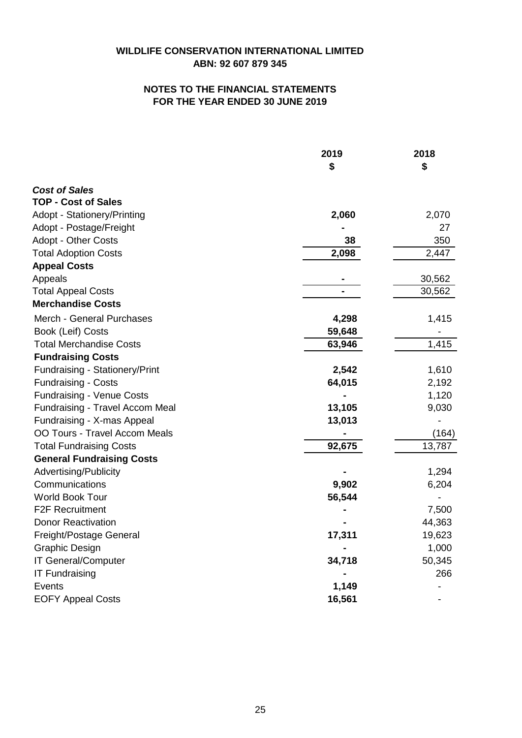|                                       | 2019<br>\$ | 2018<br>\$ |
|---------------------------------------|------------|------------|
|                                       |            |            |
| <b>Cost of Sales</b>                  |            |            |
| <b>TOP - Cost of Sales</b>            |            |            |
| <b>Adopt - Stationery/Printing</b>    | 2,060      | 2,070      |
| Adopt - Postage/Freight               |            | 27         |
| <b>Adopt - Other Costs</b>            | 38         | 350        |
| <b>Total Adoption Costs</b>           | 2,098      | 2,447      |
| <b>Appeal Costs</b>                   |            |            |
| Appeals                               |            | 30,562     |
| <b>Total Appeal Costs</b>             |            | 30,562     |
| <b>Merchandise Costs</b>              |            |            |
| Merch - General Purchases             | 4,298      | 1,415      |
| Book (Leif) Costs                     | 59,648     |            |
| <b>Total Merchandise Costs</b>        | 63,946     | 1,415      |
| <b>Fundraising Costs</b>              |            |            |
| <b>Fundraising - Stationery/Print</b> | 2,542      | 1,610      |
| <b>Fundraising - Costs</b>            | 64,015     | 2,192      |
| <b>Fundraising - Venue Costs</b>      |            | 1,120      |
| Fundraising - Travel Accom Meal       | 13,105     | 9,030      |
| Fundraising - X-mas Appeal            | 13,013     |            |
| OO Tours - Travel Accom Meals         |            | (164)      |
| <b>Total Fundraising Costs</b>        | 92,675     | 13,787     |
| <b>General Fundraising Costs</b>      |            |            |
| Advertising/Publicity                 |            | 1,294      |
| Communications                        | 9,902      | 6,204      |
| World Book Tour                       | 56,544     |            |
| <b>F2F Recruitment</b>                |            | 7,500      |
| <b>Donor Reactivation</b>             |            | 44,363     |
| Freight/Postage General               | 17,311     | 19,623     |
| <b>Graphic Design</b>                 |            | 1,000      |
| IT General/Computer                   | 34,718     | 50,345     |
| <b>IT Fundraising</b>                 |            | 266        |
| <b>Events</b>                         | 1,149      |            |
| <b>EOFY Appeal Costs</b>              | 16,561     |            |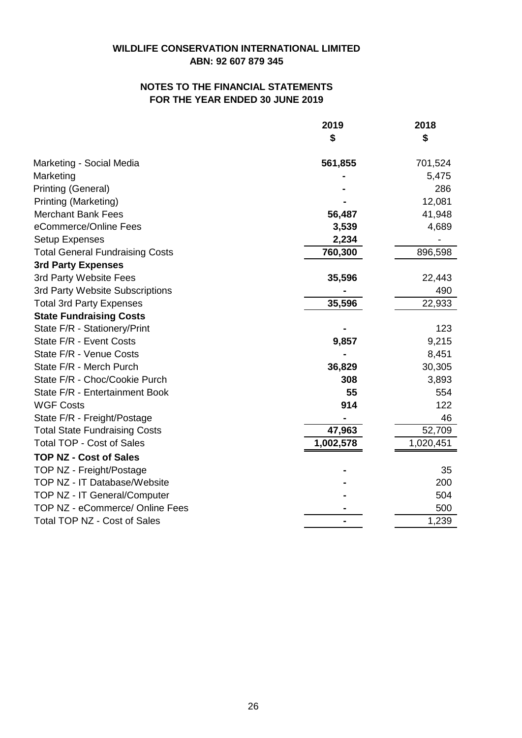# **ABN: 92 607 879 345 WILDLIFE CONSERVATION INTERNATIONAL LIMITED**

# **FOR THE YEAR ENDED 30 JUNE 2019 NOTES TO THE FINANCIAL STATEMENTS**

|                                        | 2019      | 2018      |
|----------------------------------------|-----------|-----------|
|                                        | \$        | \$        |
| Marketing - Social Media               | 561,855   | 701,524   |
| Marketing                              |           | 5,475     |
| Printing (General)                     |           | 286       |
| Printing (Marketing)                   |           | 12,081    |
| <b>Merchant Bank Fees</b>              | 56,487    | 41,948    |
| eCommerce/Online Fees                  | 3,539     | 4,689     |
| <b>Setup Expenses</b>                  | 2,234     |           |
| <b>Total General Fundraising Costs</b> | 760,300   | 896,598   |
| <b>3rd Party Expenses</b>              |           |           |
| 3rd Party Website Fees                 | 35,596    | 22,443    |
| 3rd Party Website Subscriptions        |           | 490       |
| <b>Total 3rd Party Expenses</b>        | 35,596    | 22,933    |
| <b>State Fundraising Costs</b>         |           |           |
| State F/R - Stationery/Print           |           | 123       |
| State F/R - Event Costs                | 9,857     | 9,215     |
| State F/R - Venue Costs                |           | 8,451     |
| State F/R - Merch Purch                | 36,829    | 30,305    |
| State F/R - Choc/Cookie Purch          | 308       | 3,893     |
| State F/R - Entertainment Book         | 55        | 554       |
| <b>WGF Costs</b>                       | 914       | 122       |
| State F/R - Freight/Postage            |           | 46        |
| <b>Total State Fundraising Costs</b>   | 47,963    | 52,709    |
| <b>Total TOP - Cost of Sales</b>       | 1,002,578 | 1,020,451 |
| <b>TOP NZ - Cost of Sales</b>          |           |           |
| TOP NZ - Freight/Postage               |           | 35        |
| TOP NZ - IT Database/Website           |           | 200       |
| TOP NZ - IT General/Computer           |           | 504       |
| TOP NZ - eCommerce/ Online Fees        |           | 500       |
| Total TOP NZ - Cost of Sales           |           | 1,239     |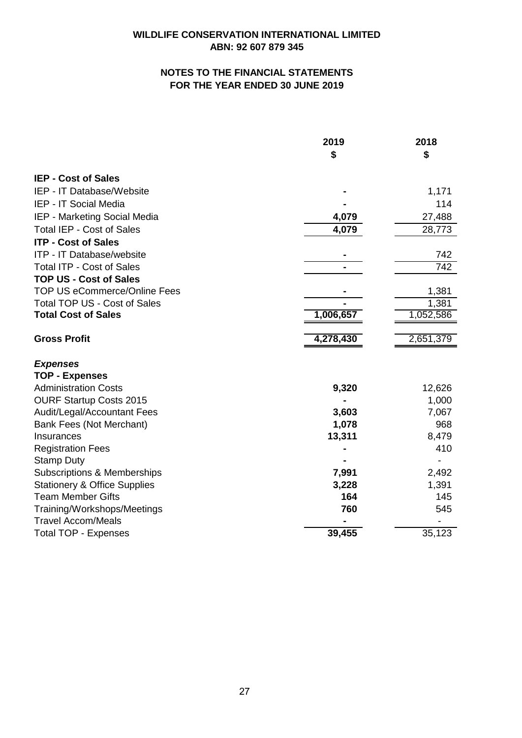|                                         | 2019<br>\$ | 2018<br>\$ |
|-----------------------------------------|------------|------------|
|                                         |            |            |
| <b>IEP - Cost of Sales</b>              |            |            |
| IEP - IT Database/Website               |            | 1,171      |
| IEP - IT Social Media                   |            | 114        |
| IEP - Marketing Social Media            | 4,079      | 27,488     |
| <b>Total IEP - Cost of Sales</b>        | 4,079      | 28,773     |
| <b>ITP - Cost of Sales</b>              |            |            |
| ITP - IT Database/website               |            | 742        |
| <b>Total ITP - Cost of Sales</b>        |            | 742        |
| <b>TOP US - Cost of Sales</b>           |            |            |
| <b>TOP US eCommerce/Online Fees</b>     |            | 1,381      |
| <b>Total TOP US - Cost of Sales</b>     |            | 1,381      |
| <b>Total Cost of Sales</b>              | 1,006,657  | 1,052,586  |
| <b>Gross Profit</b>                     | 4,278,430  | 2,651,379  |
|                                         |            |            |
| <b>Expenses</b>                         |            |            |
| <b>TOP - Expenses</b>                   |            |            |
| <b>Administration Costs</b>             | 9,320      | 12,626     |
| <b>OURF Startup Costs 2015</b>          |            | 1,000      |
| Audit/Legal/Accountant Fees             | 3,603      | 7,067      |
| Bank Fees (Not Merchant)                | 1,078      | 968        |
| Insurances                              | 13,311     | 8,479      |
| <b>Registration Fees</b>                |            | 410        |
| <b>Stamp Duty</b>                       |            |            |
| <b>Subscriptions &amp; Memberships</b>  | 7,991      | 2,492      |
| <b>Stationery &amp; Office Supplies</b> | 3,228      | 1,391      |
| <b>Team Member Gifts</b>                | 164        | 145        |
| Training/Workshops/Meetings             | 760        | 545        |
| <b>Travel Accom/Meals</b>               |            |            |
| <b>Total TOP - Expenses</b>             | 39,455     | 35,123     |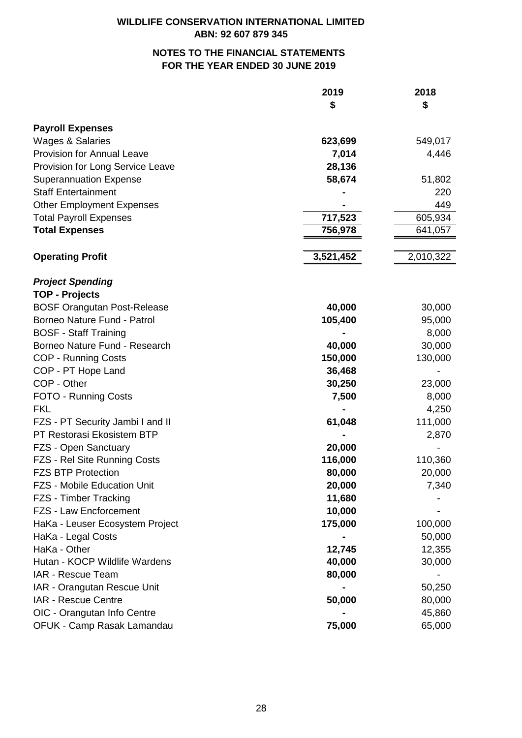|                                    | 2019<br>\$ | 2018<br>\$ |
|------------------------------------|------------|------------|
|                                    |            |            |
| <b>Payroll Expenses</b>            |            |            |
| <b>Wages &amp; Salaries</b>        | 623,699    | 549,017    |
| <b>Provision for Annual Leave</b>  | 7,014      | 4,446      |
| Provision for Long Service Leave   | 28,136     |            |
| <b>Superannuation Expense</b>      | 58,674     | 51,802     |
| <b>Staff Entertainment</b>         |            | 220        |
| <b>Other Employment Expenses</b>   |            | 449        |
| <b>Total Payroll Expenses</b>      | 717,523    | 605,934    |
| <b>Total Expenses</b>              | 756,978    | 641,057    |
|                                    |            |            |
| <b>Operating Profit</b>            | 3,521,452  | 2,010,322  |
| <b>Project Spending</b>            |            |            |
| <b>TOP - Projects</b>              |            |            |
| <b>BOSF Orangutan Post-Release</b> | 40,000     | 30,000     |
| Borneo Nature Fund - Patrol        | 105,400    | 95,000     |
| <b>BOSF - Staff Training</b>       |            | 8,000      |
| Borneo Nature Fund - Research      | 40,000     | 30,000     |
| <b>COP - Running Costs</b>         | 150,000    | 130,000    |
| COP - PT Hope Land                 | 36,468     |            |
| COP - Other                        | 30,250     | 23,000     |
| FOTO - Running Costs               | 7,500      | 8,000      |
| <b>FKL</b>                         |            | 4,250      |
| FZS - PT Security Jambi I and II   | 61,048     | 111,000    |
| PT Restorasi Ekosistem BTP         |            | 2,870      |
| FZS - Open Sanctuary               | 20,000     |            |
| FZS - Rel Site Running Costs       | 116,000    | 110,360    |
| <b>FZS BTP Protection</b>          | 80,000     | 20,000     |
| <b>FZS - Mobile Education Unit</b> | 20,000     | 7,340      |
| FZS - Timber Tracking              | 11,680     |            |
| FZS - Law Encforcement             | 10,000     |            |
| HaKa - Leuser Ecosystem Project    | 175,000    | 100,000    |
| HaKa - Legal Costs                 |            | 50,000     |
| HaKa - Other                       | 12,745     | 12,355     |
| Hutan - KOCP Wildlife Wardens      | 40,000     | 30,000     |
| IAR - Rescue Team                  | 80,000     |            |
| IAR - Orangutan Rescue Unit        |            | 50,250     |
| IAR - Rescue Centre                | 50,000     | 80,000     |
| OIC - Orangutan Info Centre        |            | 45,860     |
| OFUK - Camp Rasak Lamandau         | 75,000     | 65,000     |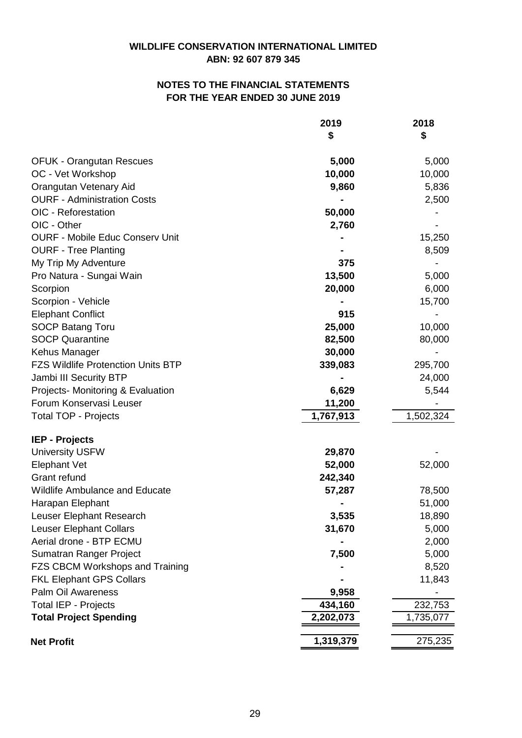# **FOR THE YEAR ENDED 30 JUNE 2019 NOTES TO THE FINANCIAL STATEMENTS**

|                                           | 2019      | 2018      |
|-------------------------------------------|-----------|-----------|
|                                           | \$        | \$        |
| <b>OFUK - Orangutan Rescues</b>           | 5,000     | 5,000     |
| OC - Vet Workshop                         | 10,000    | 10,000    |
| Orangutan Vetenary Aid                    | 9,860     | 5,836     |
| <b>OURF - Administration Costs</b>        |           | 2,500     |
| OIC - Reforestation                       | 50,000    |           |
| OIC - Other                               | 2,760     |           |
| <b>OURF - Mobile Educ Conserv Unit</b>    |           | 15,250    |
| <b>OURF - Tree Planting</b>               |           | 8,509     |
| My Trip My Adventure                      | 375       |           |
| Pro Natura - Sungai Wain                  | 13,500    | 5,000     |
| Scorpion                                  | 20,000    | 6,000     |
| Scorpion - Vehicle                        |           | 15,700    |
| <b>Elephant Conflict</b>                  | 915       |           |
| <b>SOCP Batang Toru</b>                   | 25,000    | 10,000    |
| <b>SOCP Quarantine</b>                    | 82,500    | 80,000    |
| Kehus Manager                             | 30,000    |           |
| <b>FZS Wildlife Protenction Units BTP</b> | 339,083   | 295,700   |
| Jambi III Security BTP                    |           | 24,000    |
| Projects- Monitoring & Evaluation         | 6,629     | 5,544     |
| Forum Konservasi Leuser                   | 11,200    |           |
| <b>Total TOP - Projects</b>               | 1,767,913 | 1,502,324 |
|                                           |           |           |
| <b>IEP - Projects</b>                     |           |           |
| <b>University USFW</b>                    | 29,870    |           |
| <b>Elephant Vet</b>                       | 52,000    | 52,000    |
| Grant refund                              | 242,340   |           |
| <b>Wildlife Ambulance and Educate</b>     | 57,287    | 78,500    |
| Harapan Elephant                          |           | 51,000    |
| Leuser Elephant Research                  | 3,535     | 18,890    |
| <b>Leuser Elephant Collars</b>            | 31,670    | 5,000     |
| Aerial drone - BTP ECMU                   |           | 2,000     |
| Sumatran Ranger Project                   | 7,500     | 5,000     |
| <b>FZS CBCM Workshops and Training</b>    |           | 8,520     |
| <b>FKL Elephant GPS Collars</b>           |           | 11,843    |
| Palm Oil Awareness                        | 9,958     |           |
| <b>Total IEP - Projects</b>               | 434,160   | 232,753   |
| <b>Total Project Spending</b>             | 2,202,073 | 1,735,077 |
| <b>Net Profit</b>                         | 1,319,379 | 275,235   |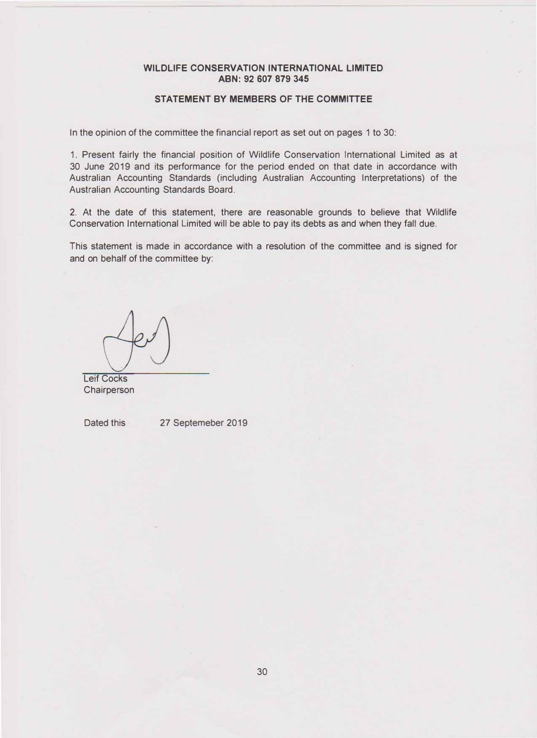## **STATEMENT BY MEMBERS OF THE COMMITTEE**

In the opinion of the committee the financial report as set out on pages 1 to 30:

1. Present fairly the financial position of Wildlife Conservation International Limited as at 30 June 2019 and its performance for the period ended on that date in accordance with Australian Accounting Standards (including Australian Accounting Interpretations) of the Australian Accounting Standards Board.

2. At the date of this statement, there are reasonable grounds to believe that Wildlife Conservation International Limited will be able to pay its debts as and when they fall due.

This statement is made in accordance with a resolution of the committee and is signed for and on behalf of the committee by:

Leif Cocks **Chairperson** 

Dated this 27 Septemeber 2019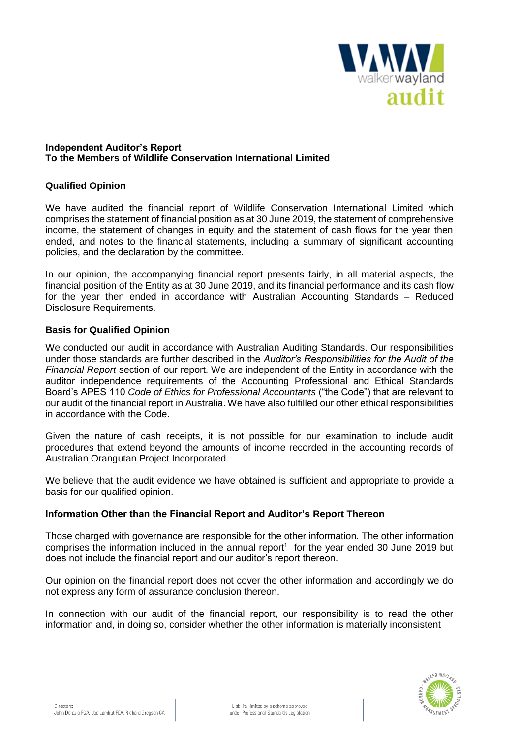

#### **Independent Auditor's Report To the Members of Wildlife Conservation International Limited**

## **Qualified Opinion**

We have audited the financial report of Wildlife Conservation International Limited which comprises the statement of financial position as at 30 June 2019, the statement of comprehensive income, the statement of changes in equity and the statement of cash flows for the year then ended, and notes to the financial statements, including a summary of significant accounting policies, and the declaration by the committee.

In our opinion, the accompanying financial report presents fairly, in all material aspects, the financial position of the Entity as at 30 June 2019, and its financial performance and its cash flow for the year then ended in accordance with Australian Accounting Standards – Reduced Disclosure Requirements.

## **Basis for Qualified Opinion**

We conducted our audit in accordance with Australian Auditing Standards. Our responsibilities under those standards are further described in the *Auditor's Responsibilities for the Audit of the Financial Report* section of our report. We are independent of the Entity in accordance with the auditor independence requirements of the Accounting Professional and Ethical Standards Board's APES 110 *Code of Ethics for Professional Accountants* ("the Code") that are relevant to our audit of the financial report in Australia. We have also fulfilled our other ethical responsibilities in accordance with the Code.

Given the nature of cash receipts, it is not possible for our examination to include audit procedures that extend beyond the amounts of income recorded in the accounting records of Australian Orangutan Project Incorporated.

We believe that the audit evidence we have obtained is sufficient and appropriate to provide a basis for our qualified opinion.

#### **Information Other than the Financial Report and Auditor's Report Thereon**

Those charged with governance are responsible for the other information. The other information comprises the information included in the annual report<sup>1</sup> for the year ended 30 June 2019 but does not include the financial report and our auditor's report thereon.

Our opinion on the financial report does not cover the other information and accordingly we do not express any form of assurance conclusion thereon.

In connection with our audit of the financial report, our responsibility is to read the other information and, in doing so, consider whether the other information is materially inconsistent

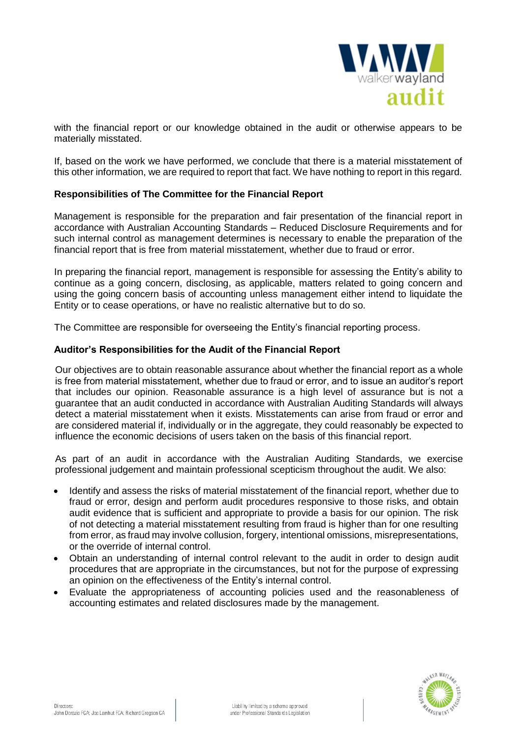

with the financial report or our knowledge obtained in the audit or otherwise appears to be materially misstated.

If, based on the work we have performed, we conclude that there is a material misstatement of this other information, we are required to report that fact. We have nothing to report in this regard.

#### **Responsibilities of The Committee for the Financial Report**

Management is responsible for the preparation and fair presentation of the financial report in accordance with Australian Accounting Standards – Reduced Disclosure Requirements and for such internal control as management determines is necessary to enable the preparation of the financial report that is free from material misstatement, whether due to fraud or error.

In preparing the financial report, management is responsible for assessing the Entity's ability to continue as a going concern, disclosing, as applicable, matters related to going concern and using the going concern basis of accounting unless management either intend to liquidate the Entity or to cease operations, or have no realistic alternative but to do so.

The Committee are responsible for overseeing the Entity's financial reporting process.

#### **Auditor's Responsibilities for the Audit of the Financial Report**

Our objectives are to obtain reasonable assurance about whether the financial report as a whole is free from material misstatement, whether due to fraud or error, and to issue an auditor's report that includes our opinion. Reasonable assurance is a high level of assurance but is not a guarantee that an audit conducted in accordance with Australian Auditing Standards will always detect a material misstatement when it exists. Misstatements can arise from fraud or error and are considered material if, individually or in the aggregate, they could reasonably be expected to influence the economic decisions of users taken on the basis of this financial report.

As part of an audit in accordance with the Australian Auditing Standards, we exercise professional judgement and maintain professional scepticism throughout the audit. We also:

- Identify and assess the risks of material misstatement of the financial report, whether due to fraud or error, design and perform audit procedures responsive to those risks, and obtain audit evidence that is sufficient and appropriate to provide a basis for our opinion. The risk of not detecting a material misstatement resulting from fraud is higher than for one resulting from error, as fraud may involve collusion, forgery, intentional omissions, misrepresentations, or the override of internal control.
- Obtain an understanding of internal control relevant to the audit in order to design audit procedures that are appropriate in the circumstances, but not for the purpose of expressing an opinion on the effectiveness of the Entity's internal control.
- Evaluate the appropriateness of accounting policies used and the reasonableness of accounting estimates and related disclosures made by the management.